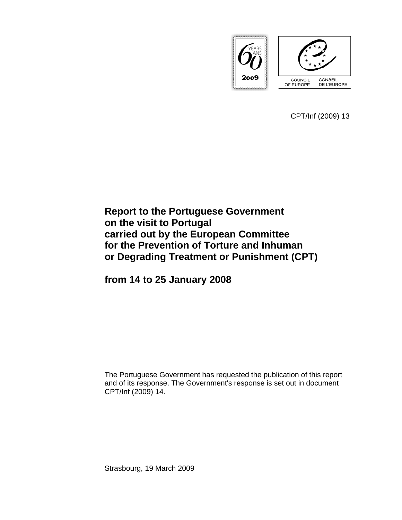

CPT/Inf (2009) 13

# **Report to the Portuguese Government on the visit to Portugal carried out by the European Committee for the Prevention of Torture and Inhuman or Degrading Treatment or Punishment (CPT)**

**from 14 to 25 January 2008** 

The Portuguese Government has requested the publication of this report and of its response. The Government's response is set out in document CPT/Inf (2009) 14.

Strasbourg, 19 March 2009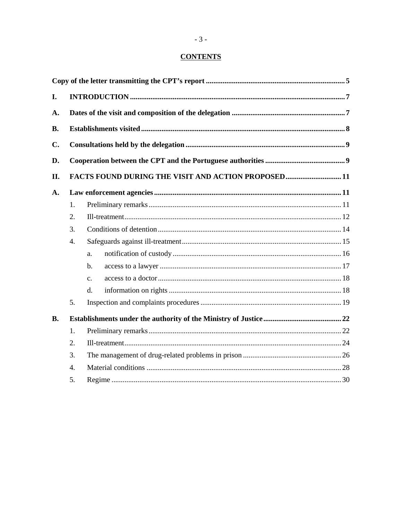# **CONTENTS**

| I.            |                  |                                                    |  |  |
|---------------|------------------|----------------------------------------------------|--|--|
| A.            |                  |                                                    |  |  |
| <b>B.</b>     |                  |                                                    |  |  |
| $C_{\bullet}$ |                  |                                                    |  |  |
| D.            |                  |                                                    |  |  |
| II.           |                  | FACTS FOUND DURING THE VISIT AND ACTION PROPOSED11 |  |  |
| A.            |                  |                                                    |  |  |
|               | 1.               |                                                    |  |  |
|               | 2.               |                                                    |  |  |
|               | 3.               |                                                    |  |  |
|               | 4.               |                                                    |  |  |
|               |                  | a.                                                 |  |  |
|               |                  | b.                                                 |  |  |
|               |                  | C <sub>1</sub>                                     |  |  |
|               |                  | d.                                                 |  |  |
|               | 5.               |                                                    |  |  |
| <b>B.</b>     |                  |                                                    |  |  |
|               | 1.               |                                                    |  |  |
|               | 2.               |                                                    |  |  |
|               | 3.               |                                                    |  |  |
|               | $\overline{4}$ . |                                                    |  |  |
|               | 5.               |                                                    |  |  |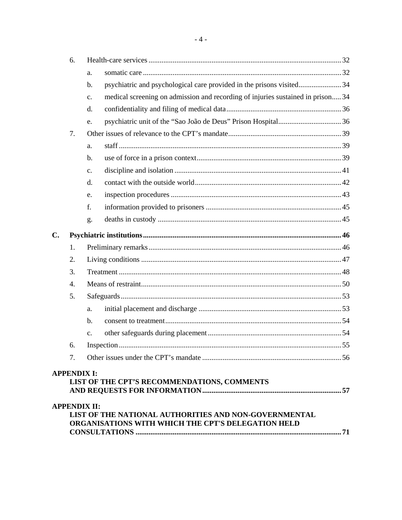|               | 6.                 |                                                                                                             |  |
|---------------|--------------------|-------------------------------------------------------------------------------------------------------------|--|
|               |                    | a.                                                                                                          |  |
|               |                    | psychiatric and psychological care provided in the prisons visited34<br>$b$ .                               |  |
|               |                    | medical screening on admission and recording of injuries sustained in prison 34<br>c.                       |  |
|               |                    | d.                                                                                                          |  |
|               |                    | e.                                                                                                          |  |
|               | 7.                 |                                                                                                             |  |
|               |                    | a.                                                                                                          |  |
|               |                    | b.                                                                                                          |  |
|               |                    | $\mathbf{c}$ .                                                                                              |  |
|               |                    | d.                                                                                                          |  |
|               |                    | e.                                                                                                          |  |
|               |                    | f.                                                                                                          |  |
|               |                    | g.                                                                                                          |  |
| $C_{\bullet}$ |                    |                                                                                                             |  |
|               | 1.                 |                                                                                                             |  |
|               | 2.                 |                                                                                                             |  |
|               | 3.                 |                                                                                                             |  |
|               | $\overline{4}$ .   |                                                                                                             |  |
|               | 5.                 |                                                                                                             |  |
|               |                    | a.                                                                                                          |  |
|               |                    | $\mathbf b$ .                                                                                               |  |
|               |                    | $\mathbf{c}$ .                                                                                              |  |
|               | 6.                 |                                                                                                             |  |
|               | 7.                 |                                                                                                             |  |
|               | <b>APPENDIX I:</b> |                                                                                                             |  |
|               |                    | LIST OF THE CPT'S RECOMMENDATIONS, COMMENTS                                                                 |  |
|               |                    |                                                                                                             |  |
|               |                    | <b>APPENDIX II:</b>                                                                                         |  |
|               |                    | LIST OF THE NATIONAL AUTHORITIES AND NON-GOVERNMENTAL<br>ORGANISATIONS WITH WHICH THE CPT'S DELEGATION HELD |  |
|               |                    |                                                                                                             |  |

 $-4-$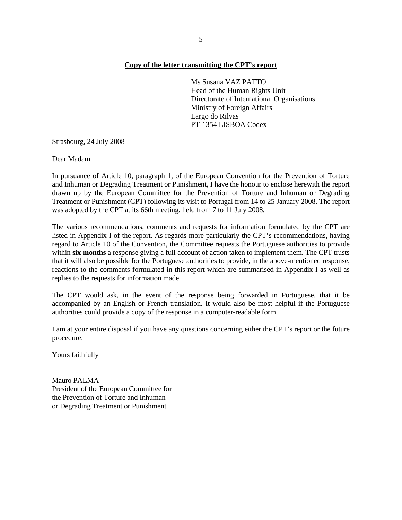Ms Susana VAZ PATTO Head of the Human Rights Unit Directorate of International Organisations Ministry of Foreign Affairs Largo do Rilvas PT-1354 LISBOA Codex

Strasbourg, 24 July 2008

Dear Madam

In pursuance of Article 10, paragraph 1, of the European Convention for the Prevention of Torture and Inhuman or Degrading Treatment or Punishment, I have the honour to enclose herewith the report drawn up by the European Committee for the Prevention of Torture and Inhuman or Degrading Treatment or Punishment (CPT) following its visit to Portugal from 14 to 25 January 2008. The report was adopted by the CPT at its 66th meeting, held from 7 to 11 July 2008.

The various recommendations, comments and requests for information formulated by the CPT are listed in Appendix I of the report. As regards more particularly the CPT's recommendations, having regard to Article 10 of the Convention, the Committee requests the Portuguese authorities to provide within **six months** a response giving a full account of action taken to implement them. The CPT trusts that it will also be possible for the Portuguese authorities to provide, in the above-mentioned response, reactions to the comments formulated in this report which are summarised in Appendix I as well as replies to the requests for information made.

The CPT would ask, in the event of the response being forwarded in Portuguese, that it be accompanied by an English or French translation. It would also be most helpful if the Portuguese authorities could provide a copy of the response in a computer-readable form.

I am at your entire disposal if you have any questions concerning either the CPT's report or the future procedure.

Yours faithfully

Mauro PALMA President of the European Committee for the Prevention of Torture and Inhuman or Degrading Treatment or Punishment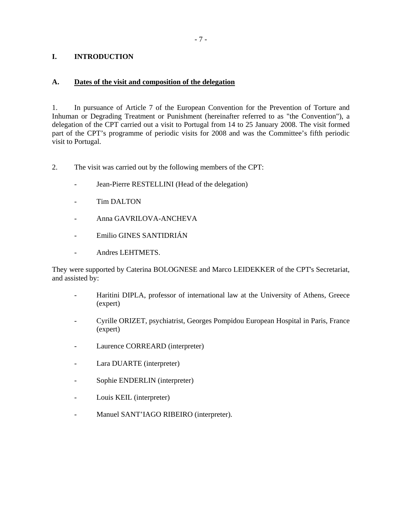# **I. INTRODUCTION**

### **A. Dates of the visit and composition of the delegation**

1. In pursuance of Article 7 of the European Convention for the Prevention of Torture and Inhuman or Degrading Treatment or Punishment (hereinafter referred to as "the Convention"), a delegation of the CPT carried out a visit to Portugal from 14 to 25 January 2008. The visit formed part of the CPT's programme of periodic visits for 2008 and was the Committee's fifth periodic visit to Portugal.

- 2. The visit was carried out by the following members of the CPT:
	- Jean-Pierre RESTELLINI (Head of the delegation)
	- Tim DALTON
	- Anna GAVRILOVA-ANCHEVA
	- Emilio GINES SANTIDRIÁN
	- Andres LEHTMETS.

They were supported by Caterina BOLOGNESE and Marco LEIDEKKER of the CPT's Secretariat, and assisted by:

- Haritini DIPLA, professor of international law at the University of Athens, Greece (expert)
- Cyrille ORIZET, psychiatrist, Georges Pompidou European Hospital in Paris, France (expert)
- Laurence CORREARD (interpreter)
- Lara DUARTE (interpreter)
- Sophie ENDERLIN (interpreter)
- Louis KEIL (interpreter)
- Manuel SANT'IAGO RIBEIRO (interpreter).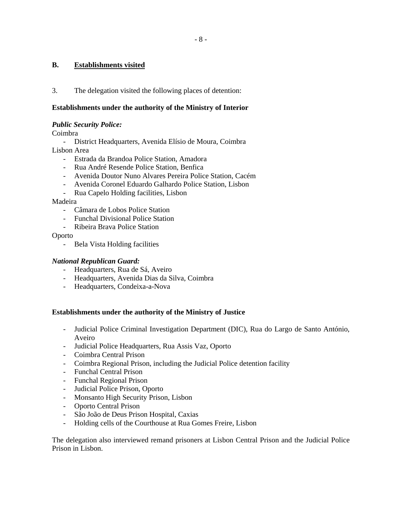# **B. Establishments visited**

3. The delegation visited the following places of detention:

# **Establishments under the authority of the Ministry of Interior**

### *Public Security Police:*

Coimbra

- District Headquarters, Avenida Elísio de Moura, Coimbra Lisbon Area
	- Estrada da Brandoa Police Station, Amadora
	- Rua André Resende Police Station, Benfica
	- Avenida Doutor Nuno Alvares Pereira Police Station, Cacém
	- Avenida Coronel Eduardo Galhardo Police Station, Lisbon
	- Rua Capelo Holding facilities, Lisbon

Madeira

- Câmara de Lobos Police Station
- Funchal Divisional Police Station
- Ribeira Brava Police Station

Oporto

- Bela Vista Holding facilities

# *National Republican Guard:*

- Headquarters, Rua de Sá, Aveiro
- Headquarters, Avenida Dias da Silva, Coimbra
- Headquarters, Condeixa-a-Nova

### **Establishments under the authority of the Ministry of Justice**

- Judicial Police Criminal Investigation Department (DIC), Rua do Largo de Santo António, Aveiro
- Judicial Police Headquarters, Rua Assis Vaz, Oporto
- Coimbra Central Prison
- Coimbra Regional Prison, including the Judicial Police detention facility
- Funchal Central Prison
- Funchal Regional Prison
- Judicial Police Prison, Oporto
- Monsanto High Security Prison, Lisbon
- Oporto Central Prison
- São João de Deus Prison Hospital, Caxias
- Holding cells of the Courthouse at Rua Gomes Freire, Lisbon

The delegation also interviewed remand prisoners at Lisbon Central Prison and the Judicial Police Prison in Lisbon.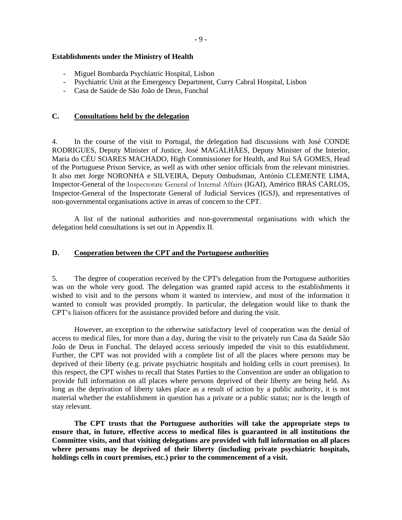### **Establishments under the Ministry of Health**

- Miguel Bombarda Psychiatric Hospital, Lisbon
- Psychiatric Unit at the Emergency Department, Curry Cabral Hospital, Lisbon
- Casa de Saúde de São João de Deus, Funchal

### **C. Consultations held by the delegation**

4. In the course of the visit to Portugal, the delegation had discussions with José CONDE RODRIGUES, Deputy Minister of Justice, José MAGALHÃES, Deputy Minister of the Interior, Maria do CÉU SOARES MACHADO, High Commissioner for Health, and Rui SÁ GOMES, Head of the Portuguese Prison Service, as well as with other senior officials from the relevant ministries. It also met Jorge NORONHA e SILVEIRA, Deputy Ombudsman, António CLEMENTE LIMA, Inspector-General of the Inspectorate General of Internal Affairs (IGAI), Américo BRÁS CARLOS, Inspector-General of the Inspectorate General of Judicial Services (IGSJ), and representatives of non-governmental organisations active in areas of concern to the CPT.

 A list of the national authorities and non-governmental organisations with which the delegation held consultations is set out in Appendix II.

### **D. Cooperation between the CPT and the Portuguese authorities**

5. The degree of cooperation received by the CPT's delegation from the Portuguese authorities was on the whole very good. The delegation was granted rapid access to the establishments it wished to visit and to the persons whom it wanted to interview, and most of the information it wanted to consult was provided promptly. In particular, the delegation would like to thank the CPT's liaison officers for the assistance provided before and during the visit.

 However, an exception to the otherwise satisfactory level of cooperation was the denial of access to medical files, for more than a day, during the visit to the privately run Casa da Saúde São João de Deus in Funchal. The delayed access seriously impeded the visit to this establishment. Further, the CPT was not provided with a complete list of all the places where persons may be deprived of their liberty (e.g. private psychiatric hospitals and holding cells in court premises). In this respect, the CPT wishes to recall that States Parties to the Convention are under an obligation to provide full information on all places where persons deprived of their liberty are being held. As long as the deprivation of liberty takes place as a result of action by a public authority, it is not material whether the establishment in question has a private or a public status; nor is the length of stay relevant.

 **The CPT trusts that the Portuguese authorities will take the appropriate steps to ensure that, in future, effective access to medical files is guaranteed in all institutions the Committee visits, and that visiting delegations are provided with full information on all places where persons may be deprived of their liberty (including private psychiatric hospitals, holdings cells in court premises, etc.) prior to the commencement of a visit.**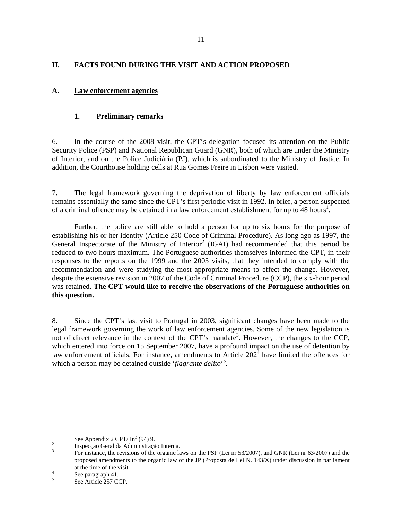# **II. FACTS FOUND DURING THE VISIT AND ACTION PROPOSED**

# **A. Law enforcement agencies**

# **1. Preliminary remarks**

6. In the course of the 2008 visit, the CPT's delegation focused its attention on the Public Security Police (PSP) and National Republican Guard (GNR), both of which are under the Ministry of Interior, and on the Police Judiciária (PJ), which is subordinated to the Ministry of Justice. In addition, the Courthouse holding cells at Rua Gomes Freire in Lisbon were visited.

7. The legal framework governing the deprivation of liberty by law enforcement officials remains essentially the same since the CPT's first periodic visit in 1992. In brief, a person suspected of a criminal offence may be detained in a law enforcement establishment for up to 48 hours<sup>1</sup>.

 Further, the police are still able to hold a person for up to six hours for the purpose of establishing his or her identity (Article 250 Code of Criminal Procedure). As long ago as 1997, the General Inspectorate of the Ministry of Interior<sup>2</sup> (IGAI) had recommended that this period be reduced to two hours maximum. The Portuguese authorities themselves informed the CPT, in their responses to the reports on the 1999 and the 2003 visits, that they intended to comply with the recommendation and were studying the most appropriate means to effect the change. However, despite the extensive revision in 2007 of the Code of Criminal Procedure (CCP), the six-hour period was retained. **The CPT would like to receive the observations of the Portuguese authorities on this question.**

8. Since the CPT's last visit to Portugal in 2003, significant changes have been made to the legal framework governing the work of law enforcement agencies. Some of the new legislation is not of direct relevance in the context of the CPT's mandate<sup>3</sup>. However, the changes to the CCP, which entered into force on 15 September 2007, have a profound impact on the use of detention by law enforcement officials. For instance, amendments to Article  $202<sup>4</sup>$  have limited the offences for which a person may be detained outside '*flagrante delito*' 5 .

 $\frac{1}{1}$ See Appendix 2 CPT/ Inf (94) 9.

<sup>2</sup> Inspecção Geral da Administração Interna.

<sup>3</sup> For instance, the revisions of the organic laws on the PSP (Lei nr 53/2007), and GNR (Lei nr 63/2007) and the proposed amendments to the organic law of the JP (Proposta de Lei N. 143/X) under discussion in parliament at the time of the visit.

See paragraph 41.

<sup>5</sup> See Article 257 CCP.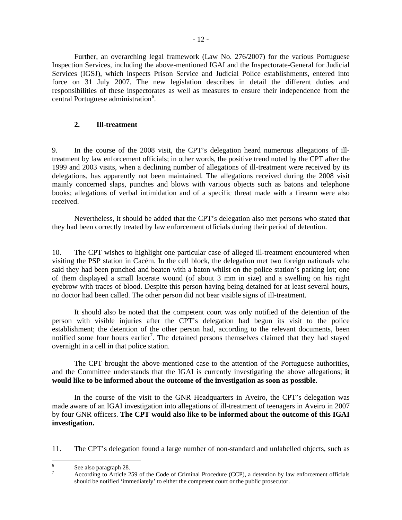Further, an overarching legal framework (Law No. 276/2007) for the various Portuguese Inspection Services, including the above-mentioned IGAI and the Inspectorate-General for Judicial Services (IGSJ), which inspects Prison Service and Judicial Police establishments, entered into force on 31 July 2007. The new legislation describes in detail the different duties and responsibilities of these inspectorates as well as measures to ensure their independence from the central Portuguese administration<sup>6</sup>.

# **2. Ill-treatment**

9. In the course of the 2008 visit, the CPT's delegation heard numerous allegations of illtreatment by law enforcement officials; in other words, the positive trend noted by the CPT after the 1999 and 2003 visits, when a declining number of allegations of ill-treatment were received by its delegations, has apparently not been maintained. The allegations received during the 2008 visit mainly concerned slaps, punches and blows with various objects such as batons and telephone books; allegations of verbal intimidation and of a specific threat made with a firearm were also received.

 Nevertheless, it should be added that the CPT's delegation also met persons who stated that they had been correctly treated by law enforcement officials during their period of detention.

10. The CPT wishes to highlight one particular case of alleged ill-treatment encountered when visiting the PSP station in Cacém. In the cell block, the delegation met two foreign nationals who said they had been punched and beaten with a baton whilst on the police station's parking lot; one of them displayed a small lacerate wound (of about 3 mm in size) and a swelling on his right eyebrow with traces of blood. Despite this person having being detained for at least several hours, no doctor had been called. The other person did not bear visible signs of ill-treatment.

 It should also be noted that the competent court was only notified of the detention of the person with visible injuries after the CPT's delegation had begun its visit to the police establishment; the detention of the other person had, according to the relevant documents, been notified some four hours earlier<sup>7</sup>. The detained persons themselves claimed that they had stayed overnight in a cell in that police station.

 The CPT brought the above-mentioned case to the attention of the Portuguese authorities, and the Committee understands that the IGAI is currently investigating the above allegations; **it would like to be informed about the outcome of the investigation as soon as possible.**

 In the course of the visit to the GNR Headquarters in Aveiro, the CPT's delegation was made aware of an IGAI investigation into allegations of ill-treatment of teenagers in Aveiro in 2007 by four GNR officers. **The CPT would also like to be informed about the outcome of this IGAI investigation.** 

11. The CPT's delegation found a large number of non-standard and unlabelled objects, such as

 6 See also paragraph 28.

<sup>7</sup> According to Article 259 of the Code of Criminal Procedure (CCP), a detention by law enforcement officials should be notified 'immediately' to either the competent court or the public prosecutor.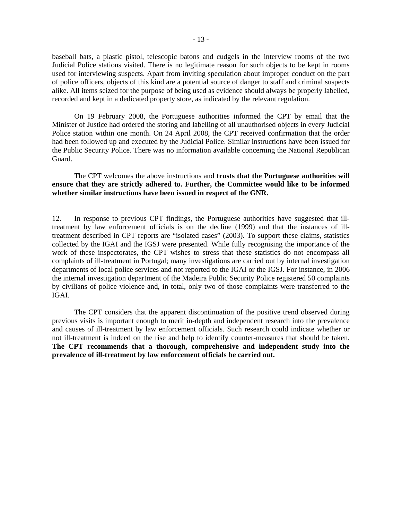baseball bats, a plastic pistol, telescopic batons and cudgels in the interview rooms of the two Judicial Police stations visited. There is no legitimate reason for such objects to be kept in rooms used for interviewing suspects. Apart from inviting speculation about improper conduct on the part of police officers, objects of this kind are a potential source of danger to staff and criminal suspects alike. All items seized for the purpose of being used as evidence should always be properly labelled, recorded and kept in a dedicated property store, as indicated by the relevant regulation.

 On 19 February 2008, the Portuguese authorities informed the CPT by email that the Minister of Justice had ordered the storing and labelling of all unauthorised objects in every Judicial Police station within one month. On 24 April 2008, the CPT received confirmation that the order had been followed up and executed by the Judicial Police. Similar instructions have been issued for the Public Security Police. There was no information available concerning the National Republican Guard.

# The CPT welcomes the above instructions and **trusts that the Portuguese authorities will ensure that they are strictly adhered to. Further, the Committee would like to be informed whether similar instructions have been issued in respect of the GNR.**

12. In response to previous CPT findings, the Portuguese authorities have suggested that illtreatment by law enforcement officials is on the decline (1999) and that the instances of illtreatment described in CPT reports are "isolated cases" (2003). To support these claims, statistics collected by the IGAI and the IGSJ were presented. While fully recognising the importance of the work of these inspectorates, the CPT wishes to stress that these statistics do not encompass all complaints of ill-treatment in Portugal; many investigations are carried out by internal investigation departments of local police services and not reported to the IGAI or the IGSJ. For instance, in 2006 the internal investigation department of the Madeira Public Security Police registered 50 complaints by civilians of police violence and, in total, only two of those complaints were transferred to the IGAI.

 The CPT considers that the apparent discontinuation of the positive trend observed during previous visits is important enough to merit in-depth and independent research into the prevalence and causes of ill-treatment by law enforcement officials. Such research could indicate whether or not ill-treatment is indeed on the rise and help to identify counter-measures that should be taken. **The CPT recommends that a thorough, comprehensive and independent study into the prevalence of ill-treatment by law enforcement officials be carried out.**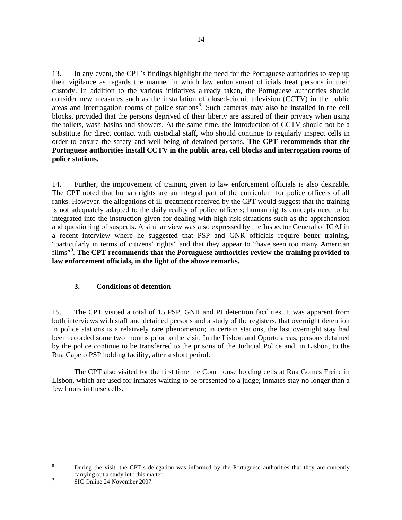13. In any event, the CPT's findings highlight the need for the Portuguese authorities to step up their vigilance as regards the manner in which law enforcement officials treat persons in their custody. In addition to the various initiatives already taken, the Portuguese authorities should consider new measures such as the installation of closed-circuit television (CCTV) in the public areas and interrogation rooms of police stations<sup>8</sup>. Such cameras may also be installed in the cell blocks, provided that the persons deprived of their liberty are assured of their privacy when using the toilets, wash-basins and showers. At the same time, the introduction of CCTV should not be a substitute for direct contact with custodial staff, who should continue to regularly inspect cells in order to ensure the safety and well-being of detained persons. **The CPT recommends that the Portuguese authorities install CCTV in the public area, cell blocks and interrogation rooms of police stations.**

14. Further, the improvement of training given to law enforcement officials is also desirable. The CPT noted that human rights are an integral part of the curriculum for police officers of all ranks. However, the allegations of ill-treatment received by the CPT would suggest that the training is not adequately adapted to the daily reality of police officers; human rights concepts need to be integrated into the instruction given for dealing with high-risk situations such as the apprehension and questioning of suspects. A similar view was also expressed by the Inspector General of IGAI in a recent interview where he suggested that PSP and GNR officials require better training, "particularly in terms of citizens' rights" and that they appear to "have seen too many American films"<sup>9</sup> . **The CPT recommends that the Portuguese authorities review the training provided to law enforcement officials, in the light of the above remarks.** 

# **3. Conditions of detention**

15. The CPT visited a total of 15 PSP, GNR and PJ detention facilities. It was apparent from both interviews with staff and detained persons and a study of the registers, that overnight detention in police stations is a relatively rare phenomenon; in certain stations, the last overnight stay had been recorded some two months prior to the visit. In the Lisbon and Oporto areas, persons detained by the police continue to be transferred to the prisons of the Judicial Police and, in Lisbon, to the Rua Capelo PSP holding facility, after a short period.

 The CPT also visited for the first time the Courthouse holding cells at Rua Gomes Freire in Lisbon, which are used for inmates waiting to be presented to a judge; inmates stay no longer than a few hours in these cells.

 8 During the visit, the CPT's delegation was informed by the Portuguese authorities that they are currently carrying out a study into this matter.

SIC Online 24 November 2007.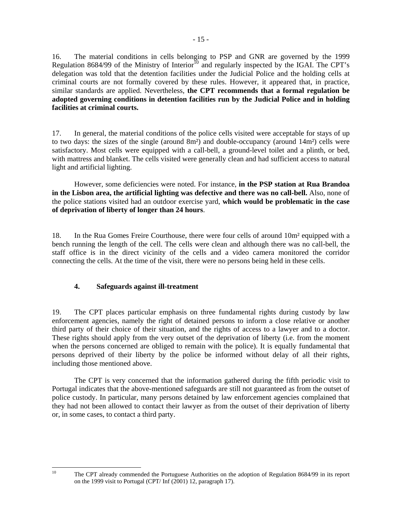16. The material conditions in cells belonging to PSP and GNR are governed by the 1999 Regulation 8684/99 of the Ministry of Interior<sup> $10$ </sup> and regularly inspected by the IGAI. The CPT's delegation was told that the detention facilities under the Judicial Police and the holding cells at criminal courts are not formally covered by these rules. However, it appeared that, in practice, similar standards are applied. Nevertheless, **the CPT recommends that a formal regulation be adopted governing conditions in detention facilities run by the Judicial Police and in holding facilities at criminal courts.** 

17. In general, the material conditions of the police cells visited were acceptable for stays of up to two days; the sizes of the single (around  $8m<sup>2</sup>$ ) and double-occupancy (around  $14m<sup>2</sup>$ ) cells were satisfactory. Most cells were equipped with a call-bell, a ground-level toilet and a plinth, or bed, with mattress and blanket. The cells visited were generally clean and had sufficient access to natural light and artificial lighting.

 However, some deficiencies were noted. For instance, **in the PSP station at Rua Brandoa in the Lisbon area, the artificial lighting was defective and there was no call-bell.** Also, none of the police stations visited had an outdoor exercise yard, **which would be problematic in the case of deprivation of liberty of longer than 24 hours**.

18. In the Rua Gomes Freire Courthouse, there were four cells of around 10m² equipped with a bench running the length of the cell. The cells were clean and although there was no call-bell, the staff office is in the direct vicinity of the cells and a video camera monitored the corridor connecting the cells. At the time of the visit, there were no persons being held in these cells.

# **4. Safeguards against ill-treatment**

 $10<sup>10</sup>$ 

19. The CPT places particular emphasis on three fundamental rights during custody by law enforcement agencies, namely the right of detained persons to inform a close relative or another third party of their choice of their situation, and the rights of access to a lawyer and to a doctor. These rights should apply from the very outset of the deprivation of liberty (i.e. from the moment when the persons concerned are obliged to remain with the police). It is equally fundamental that persons deprived of their liberty by the police be informed without delay of all their rights, including those mentioned above.

 The CPT is very concerned that the information gathered during the fifth periodic visit to Portugal indicates that the above-mentioned safeguards are still not guaranteed as from the outset of police custody. In particular, many persons detained by law enforcement agencies complained that they had not been allowed to contact their lawyer as from the outset of their deprivation of liberty or, in some cases, to contact a third party.

<sup>10</sup> The CPT already commended the Portuguese Authorities on the adoption of Regulation 8684/99 in its report on the 1999 visit to Portugal (CPT/ Inf (2001) 12, paragraph 17).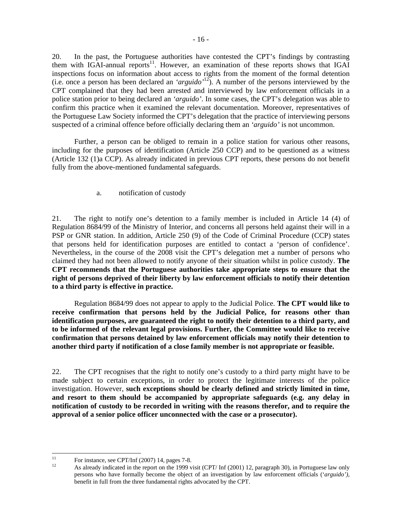20. In the past, the Portuguese authorities have contested the CPT's findings by contrasting them with IGAI-annual reports<sup>11</sup>. However, an examination of these reports shows that IGAI inspections focus on information about access to rights from the moment of the formal detention (i.e. once a person has been declared an *'arguido'*12). A number of the persons interviewed by the CPT complained that they had been arrested and interviewed by law enforcement officials in a police station prior to being declared an *'arguido'*. In some cases, the CPT's delegation was able to confirm this practice when it examined the relevant documentation. Moreover, representatives of the Portuguese Law Society informed the CPT's delegation that the practice of interviewing persons suspected of a criminal offence before officially declaring them an *'arguido'* is not uncommon.

 Further, a person can be obliged to remain in a police station for various other reasons, including for the purposes of identification (Article 250 CCP) and to be questioned as a witness (Article 132 (1)a CCP). As already indicated in previous CPT reports, these persons do not benefit fully from the above-mentioned fundamental safeguards.

a. notification of custody

21. The right to notify one's detention to a family member is included in Article 14 (4) of Regulation 8684/99 of the Ministry of Interior, and concerns all persons held against their will in a PSP or GNR station. In addition, Article 250 (9) of the Code of Criminal Procedure (CCP) states that persons held for identification purposes are entitled to contact a 'person of confidence'. Nevertheless, in the course of the 2008 visit the CPT's delegation met a number of persons who claimed they had not been allowed to notify anyone of their situation whilst in police custody. **The CPT recommends that the Portuguese authorities take appropriate steps to ensure that the right of persons deprived of their liberty by law enforcement officials to notify their detention to a third party is effective in practice.** 

 Regulation 8684/99 does not appear to apply to the Judicial Police. **The CPT would like to receive confirmation that persons held by the Judicial Police, for reasons other than identification purposes, are guaranteed the right to notify their detention to a third party, and to be informed of the relevant legal provisions. Further, the Committee would like to receive confirmation that persons detained by law enforcement officials may notify their detention to another third party if notification of a close family member is not appropriate or feasible.** 

22. The CPT recognises that the right to notify one's custody to a third party might have to be made subject to certain exceptions, in order to protect the legitimate interests of the police investigation. However, **such exceptions should be clearly defined and strictly limited in time, and resort to them should be accompanied by appropriate safeguards (e.g. any delay in notification of custody to be recorded in writing with the reasons therefor, and to require the approval of a senior police officer unconnected with the case or a prosecutor).** 

 $11$ <sup>11</sup> For instance, see CPT/Inf (2007) 14, pages 7-8.

As already indicated in the report on the 1999 visit (CPT/ Inf (2001) 12, paragraph 30), in Portuguese law only persons who have formally become the object of an investigation by law enforcement officials ('*arguido'),*  benefit in full from the three fundamental rights advocated by the CPT.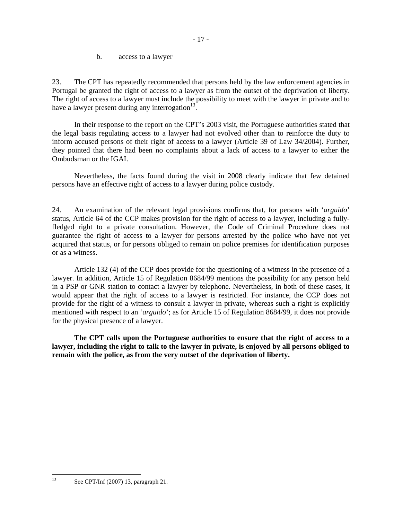b. access to a lawyer

23. The CPT has repeatedly recommended that persons held by the law enforcement agencies in Portugal be granted the right of access to a lawyer as from the outset of the deprivation of liberty. The right of access to a lawyer must include the possibility to meet with the lawyer in private and to have a lawyer present during any interrogation $13$ .

 In their response to the report on the CPT's 2003 visit, the Portuguese authorities stated that the legal basis regulating access to a lawyer had not evolved other than to reinforce the duty to inform accused persons of their right of access to a lawyer (Article 39 of Law 34/2004). Further, they pointed that there had been no complaints about a lack of access to a lawyer to either the Ombudsman or the IGAI.

 Nevertheless, the facts found during the visit in 2008 clearly indicate that few detained persons have an effective right of access to a lawyer during police custody.

24. An examination of the relevant legal provisions confirms that, for persons with '*arguido*' status, Article 64 of the CCP makes provision for the right of access to a lawyer, including a fullyfledged right to a private consultation. However, the Code of Criminal Procedure does not guarantee the right of access to a lawyer for persons arrested by the police who have not yet acquired that status, or for persons obliged to remain on police premises for identification purposes or as a witness.

 Article 132 (4) of the CCP does provide for the questioning of a witness in the presence of a lawyer. In addition, Article 15 of Regulation 8684/99 mentions the possibility for any person held in a PSP or GNR station to contact a lawyer by telephone. Nevertheless, in both of these cases, it would appear that the right of access to a lawyer is restricted. For instance, the CCP does not provide for the right of a witness to consult a lawyer in private, whereas such a right is explicitly mentioned with respect to an '*arguido*'; as for Article 15 of Regulation 8684/99, it does not provide for the physical presence of a lawyer.

 **The CPT calls upon the Portuguese authorities to ensure that the right of access to a lawyer, including the right to talk to the lawyer in private, is enjoyed by all persons obliged to remain with the police, as from the very outset of the deprivation of liberty.** 

 $13$ See CPT/Inf (2007) 13, paragraph 21.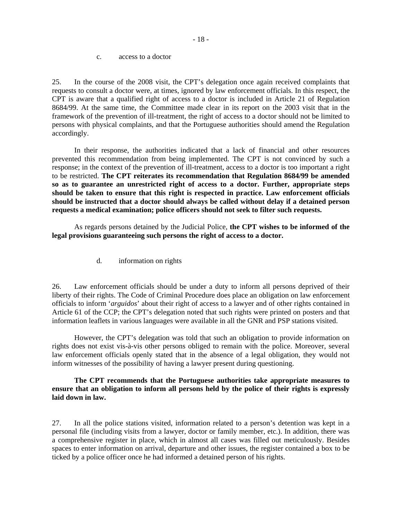#### c. access to a doctor

25. In the course of the 2008 visit, the CPT's delegation once again received complaints that requests to consult a doctor were, at times, ignored by law enforcement officials. In this respect, the CPT is aware that a qualified right of access to a doctor is included in Article 21 of Regulation 8684/99. At the same time, the Committee made clear in its report on the 2003 visit that in the framework of the prevention of ill-treatment, the right of access to a doctor should not be limited to persons with physical complaints, and that the Portuguese authorities should amend the Regulation accordingly.

 In their response, the authorities indicated that a lack of financial and other resources prevented this recommendation from being implemented. The CPT is not convinced by such a response; in the context of the prevention of ill-treatment, access to a doctor is too important a right to be restricted. **The CPT reiterates its recommendation that Regulation 8684/99 be amended so as to guarantee an unrestricted right of access to a doctor. Further, appropriate steps should be taken to ensure that this right is respected in practice. Law enforcement officials should be instructed that a doctor should always be called without delay if a detained person requests a medical examination; police officers should not seek to filter such requests.** 

 As regards persons detained by the Judicial Police, **the CPT wishes to be informed of the legal provisions guaranteeing such persons the right of access to a doctor.** 

d. information on rights

26. Law enforcement officials should be under a duty to inform all persons deprived of their liberty of their rights. The Code of Criminal Procedure does place an obligation on law enforcement officials to inform '*arguidos*' about their right of access to a lawyer and of other rights contained in Article 61 of the CCP; the CPT's delegation noted that such rights were printed on posters and that information leaflets in various languages were available in all the GNR and PSP stations visited.

 However, the CPT's delegation was told that such an obligation to provide information on rights does not exist vis-à-vis other persons obliged to remain with the police. Moreover, several law enforcement officials openly stated that in the absence of a legal obligation, they would not inform witnesses of the possibility of having a lawyer present during questioning.

### **The CPT recommends that the Portuguese authorities take appropriate measures to ensure that an obligation to inform all persons held by the police of their rights is expressly laid down in law.**

27. In all the police stations visited, information related to a person's detention was kept in a personal file (including visits from a lawyer, doctor or family member, etc.). In addition, there was a comprehensive register in place, which in almost all cases was filled out meticulously. Besides spaces to enter information on arrival, departure and other issues, the register contained a box to be ticked by a police officer once he had informed a detained person of his rights.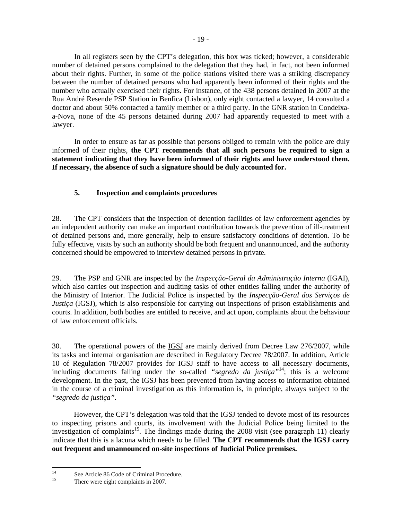In all registers seen by the CPT's delegation, this box was ticked; however, a considerable number of detained persons complained to the delegation that they had, in fact, not been informed about their rights. Further, in some of the police stations visited there was a striking discrepancy between the number of detained persons who had apparently been informed of their rights and the number who actually exercised their rights. For instance, of the 438 persons detained in 2007 at the Rua André Resende PSP Station in Benfica (Lisbon), only eight contacted a lawyer, 14 consulted a doctor and about 50% contacted a family member or a third party. In the GNR station in Condeixaa-Nova, none of the 45 persons detained during 2007 had apparently requested to meet with a lawyer.

 In order to ensure as far as possible that persons obliged to remain with the police are duly informed of their rights, **the CPT recommends that all such persons be required to sign a statement indicating that they have been informed of their rights and have understood them. If necessary, the absence of such a signature should be duly accounted for.** 

# **5. Inspection and complaints procedures**

28. The CPT considers that the inspection of detention facilities of law enforcement agencies by an independent authority can make an important contribution towards the prevention of ill-treatment of detained persons and, more generally, help to ensure satisfactory conditions of detention. To be fully effective, visits by such an authority should be both frequent and unannounced, and the authority concerned should be empowered to interview detained persons in private.

29. The PSP and GNR are inspected by the *Inspecção-Geral da Administração Interna* (IGAI), which also carries out inspection and auditing tasks of other entities falling under the authority of the Ministry of Interior. The Judicial Police is inspected by the *Inspecção-Geral dos Serviços de Justiça* (IGSJ), which is also responsible for carrying out inspections of prison establishments and courts. In addition, both bodies are entitled to receive, and act upon, complaints about the behaviour of law enforcement officials.

30. The operational powers of the IGSJ are mainly derived from Decree Law 276/2007, while its tasks and internal organisation are described in Regulatory Decree 78/2007. In addition, Article 10 of Regulation 78/2007 provides for IGSJ staff to have access to all necessary documents, including documents falling under the so-called *"segredo da justiça"*14; this is a welcome development. In the past, the IGSJ has been prevented from having access to information obtained in the course of a criminal investigation as this information is, in principle, always subject to the *"segredo da justiça"*.

However, the CPT's delegation was told that the IGSJ tended to devote most of its resources to inspecting prisons and courts, its involvement with the Judicial Police being limited to the investigation of complaints<sup>15</sup>. The findings made during the 2008 visit (see paragraph 11) clearly indicate that this is a lacuna which needs to be filled. **The CPT recommends that the IGSJ carry out frequent and unannounced on-site inspections of Judicial Police premises.**

 $14$ <sup>14</sup> See Article 86 Code of Criminal Procedure.

There were eight complaints in 2007.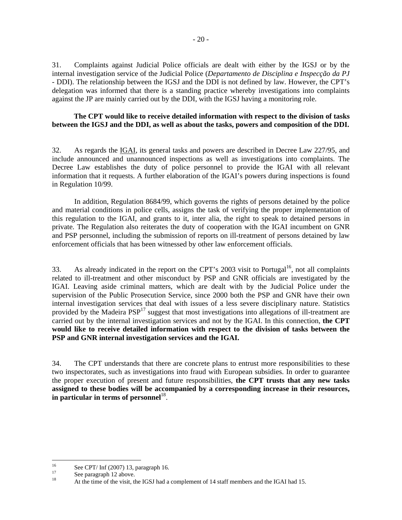31. Complaints against Judicial Police officials are dealt with either by the IGSJ or by the internal investigation service of the Judicial Police (*Departamento de Disciplina e Inspecção da PJ*  - DDI). The relationship between the IGSJ and the DDI is not defined by law. However, the CPT's delegation was informed that there is a standing practice whereby investigations into complaints against the JP are mainly carried out by the DDI, with the IGSJ having a monitoring role.

# **The CPT would like to receive detailed information with respect to the division of tasks between the IGSJ and the DDI, as well as about the tasks, powers and composition of the DDI.**

32. As regards the IGAI, its general tasks and powers are described in Decree Law 227/95, and include announced and unannounced inspections as well as investigations into complaints. The Decree Law establishes the duty of police personnel to provide the IGAI with all relevant information that it requests. A further elaboration of the IGAI's powers during inspections is found in Regulation 10/99.

 In addition, Regulation 8684/99, which governs the rights of persons detained by the police and material conditions in police cells, assigns the task of verifying the proper implementation of this regulation to the IGAI, and grants to it, inter alia, the right to speak to detained persons in private. The Regulation also reiterates the duty of cooperation with the IGAI incumbent on GNR and PSP personnel, including the submission of reports on ill-treatment of persons detained by law enforcement officials that has been witnessed by other law enforcement officials.

33. As already indicated in the report on the CPT's 2003 visit to Portugal<sup>16</sup>, not all complaints related to ill-treatment and other misconduct by PSP and GNR officials are investigated by the IGAI. Leaving aside criminal matters, which are dealt with by the Judicial Police under the supervision of the Public Prosecution Service, since 2000 both the PSP and GNR have their own internal investigation services that deal with issues of a less severe disciplinary nature. Statistics provided by the Madeira  $PSP<sup>17</sup>$  suggest that most investigations into allegations of ill-treatment are carried out by the internal investigation services and not by the IGAI. In this connection, **the CPT would like to receive detailed information with respect to the division of tasks between the PSP and GNR internal investigation services and the IGAI.** 

34. The CPT understands that there are concrete plans to entrust more responsibilities to these two inspectorates, such as investigations into fraud with European subsidies. In order to guarantee the proper execution of present and future responsibilities, **the CPT trusts that any new tasks assigned to these bodies will be accompanied by a corresponding increase in their resources,**  in particular in terms of personnel<sup>18</sup>.

 $\overline{a}$  $^{16}$  See CPT/ Inf (2007) 13, paragraph 16.

 $\frac{17}{18}$  See paragraph 12 above.

<sup>18</sup> At the time of the visit, the IGSJ had a complement of 14 staff members and the IGAI had 15.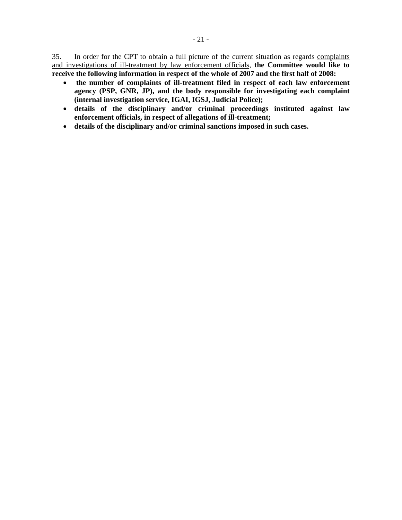35. In order for the CPT to obtain a full picture of the current situation as regards complaints and investigations of ill-treatment by law enforcement officials, **the Committee would like to receive the following information in respect of the whole of 2007 and the first half of 2008:** 

- • **the number of complaints of ill-treatment filed in respect of each law enforcement agency (PSP, GNR, JP), and the body responsible for investigating each complaint (internal investigation service, IGAI, IGSJ, Judicial Police);**
- **details of the disciplinary and/or criminal proceedings instituted against law enforcement officials, in respect of allegations of ill-treatment;**
- **details of the disciplinary and/or criminal sanctions imposed in such cases.**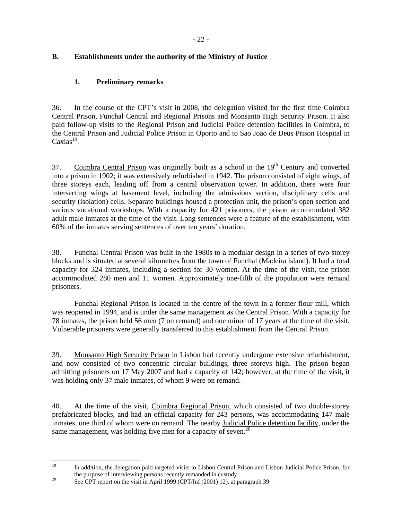# **B. Establishments under the authority of the Ministry of Justice**

# **1. Preliminary remarks**

36. In the course of the CPT's visit in 2008, the delegation visited for the first time Coimbra Central Prison, Funchal Central and Regional Prisons and Monsanto High Security Prison. It also paid follow-up visits to the Regional Prison and Judicial Police detention facilities in Coimbra, to the Central Prison and Judicial Police Prison in Oporto and to Sao João de Deus Prison Hospital in  $Caxias<sup>19</sup>$ .

37. Coimbra Central Prison was originally built as a school in the  $19<sup>th</sup>$  Century and converted into a prison in 1902; it was extensively refurbished in 1942. The prison consisted of eight wings, of three storeys each, leading off from a central observation tower. In addition, there were four intersecting wings at basement level, including the admissions section, disciplinary cells and security (isolation) cells. Separate buildings housed a protection unit, the prison's open section and various vocational workshops. With a capacity for 421 prisoners, the prison accommodated 382 adult male inmates at the time of the visit. Long sentences were a feature of the establishment, with 60% of the inmates serving sentences of over ten years' duration.

38. Funchal Central Prison was built in the 1980s to a modular design in a series of two-storey blocks and is situated at several kilometres from the town of Funchal (Madeira island). It had a total capacity for 324 inmates, including a section for 30 women. At the time of the visit, the prison accommodated 280 men and 11 women. Approximately one-fifth of the population were remand prisoners.

 Funchal Regional Prison is located in the centre of the town in a former flour mill, which was reopened in 1994, and is under the same management as the Central Prison. With a capacity for 78 inmates, the prison held 56 men (7 on remand) and one minor of 17 years at the time of the visit. Vulnerable prisoners were generally transferred to this establishment from the Central Prison.

39. Monsanto High Security Prison in Lisbon had recently undergone extensive refurbishment, and now consisted of two concentric circular buildings, three storeys high. The prison began admitting prisoners on 17 May 2007 and had a capacity of 142; however, at the time of the visit, it was holding only 37 male inmates, of whom 9 were on remand.

40. At the time of the visit, Coimbra Regional Prison, which consisted of two double-storey prefabricated blocks, and had an official capacity for 243 persons, was accommodating 147 male inmates, one third of whom were on remand. The nearby Judicial Police detention facility, under the same management, was holding five men for a capacity of seven.<sup>20</sup>

<sup>19</sup> 19 In addition, the delegation paid targeted visits to Lisbon Central Prison and Lisbon Judicial Police Prison, for the purpose of interviewing persons recently remanded in custody.<br><sup>20</sup> See CPT report on the visit in April 1999 (CPT/Inf (2001) 12), at paragraph 39.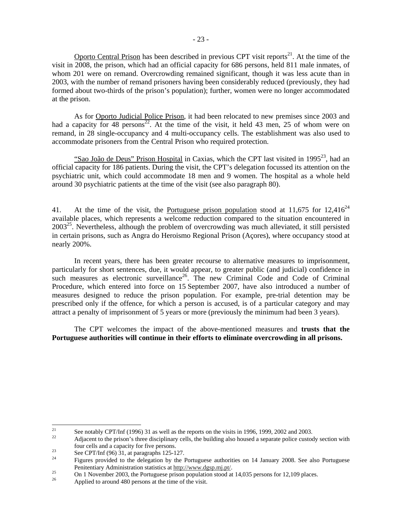Oporto Central Prison has been described in previous CPT visit reports<sup>21</sup>. At the time of the visit in 2008, the prison, which had an official capacity for 686 persons, held 811 male inmates, of whom 201 were on remand. Overcrowding remained significant, though it was less acute than in 2003, with the number of remand prisoners having been considerably reduced (previously, they had formed about two-thirds of the prison's population); further, women were no longer accommodated at the prison.

As for Oporto Judicial Police Prison, it had been relocated to new premises since 2003 and had a capacity for 48 persons<sup>22</sup>. At the time of the visit, it held 43 men, 25 of whom were on remand, in 28 single-occupancy and 4 multi-occupancy cells. The establishment was also used to accommodate prisoners from the Central Prison who required protection.

"Sao João de Deus" Prison Hospital in Caxias, which the CPT last visited in 1995 $^{23}$ , had an official capacity for 186 patients. During the visit, the CPT's delegation focussed its attention on the psychiatric unit, which could accommodate 18 men and 9 women. The hospital as a whole held around 30 psychiatric patients at the time of the visit (see also paragraph 80).

41. At the time of the visit, the Portuguese prison population stood at 11,675 for 12,416<sup>24</sup> available places, which represents a welcome reduction compared to the situation encountered in  $2003^{25}$ . Nevertheless, although the problem of overcrowding was much alleviated, it still persisted in certain prisons, such as Angra do Heroismo Regional Prison (Açores), where occupancy stood at nearly 200%.

In recent years, there has been greater recourse to alternative measures to imprisonment, particularly for short sentences, due, it would appear, to greater public (and judicial) confidence in such measures as electronic surveillance<sup>26</sup>. The new Criminal Code and Code of Criminal Procedure, which entered into force on 15 September 2007, have also introduced a number of measures designed to reduce the prison population. For example, pre-trial detention may be prescribed only if the offence, for which a person is accused, is of a particular category and may attract a penalty of imprisonment of 5 years or more (previously the minimum had been 3 years).

The CPT welcomes the impact of the above-mentioned measures and **trusts that the Portuguese authorities will continue in their efforts to eliminate overcrowding in all prisons.** 

 $21$ <sup>21</sup> See notably CPT/Inf (1996) 31 as well as the reports on the visits in 1996, 1999, 2002 and 2003.

Adjacent to the prison's three disciplinary cells, the building also housed a separate police custody section with four cells and a capacity for five persons.<br>
See CPT/Inf (96) 31, at paragraphs 125-127.

Figures provided to the delegation by the Portuguese authorities on 14 January 2008. See also Portuguese Penitentiary Administration statistics at http://www.dgsp.mi.pt/.

 $\frac{25}{26}$  On 1 November 2003, the Portuguese prison population stood at 14,035 persons for 12,109 places.

Applied to around 480 persons at the time of the visit.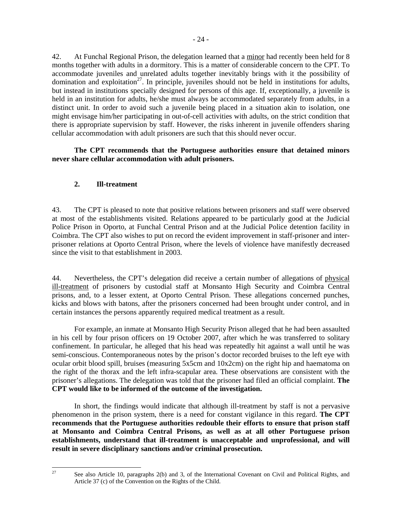42. At Funchal Regional Prison, the delegation learned that a minor had recently been held for 8 months together with adults in a dormitory. This is a matter of considerable concern to the CPT. To accommodate juveniles and unrelated adults together inevitably brings with it the possibility of domination and exploitation<sup>27</sup>. In principle, juveniles should not be held in institutions for adults, but instead in institutions specially designed for persons of this age. If, exceptionally, a juvenile is held in an institution for adults, he/she must always be accommodated separately from adults, in a distinct unit. In order to avoid such a juvenile being placed in a situation akin to isolation, one might envisage him/her participating in out-of-cell activities with adults, on the strict condition that there is appropriate supervision by staff. However, the risks inherent in juvenile offenders sharing cellular accommodation with adult prisoners are such that this should never occur.

**The CPT recommends that the Portuguese authorities ensure that detained minors never share cellular accommodation with adult prisoners.**

# **2. Ill-treatment**

43. The CPT is pleased to note that positive relations between prisoners and staff were observed at most of the establishments visited. Relations appeared to be particularly good at the Judicial Police Prison in Oporto, at Funchal Central Prison and at the Judicial Police detention facility in Coimbra. The CPT also wishes to put on record the evident improvement in staff-prisoner and interprisoner relations at Oporto Central Prison, where the levels of violence have manifestly decreased since the visit to that establishment in 2003.

44. Nevertheless, the CPT's delegation did receive a certain number of allegations of physical ill-treatment of prisoners by custodial staff at Monsanto High Security and Coimbra Central prisons, and, to a lesser extent, at Oporto Central Prison. These allegations concerned punches, kicks and blows with batons, after the prisoners concerned had been brought under control, and in certain instances the persons apparently required medical treatment as a result.

For example, an inmate at Monsanto High Security Prison alleged that he had been assaulted in his cell by four prison officers on 19 October 2007, after which he was transferred to solitary confinement. In particular, he alleged that his head was repeatedly hit against a wall until he was semi-conscious. Contemporaneous notes by the prison's doctor recorded bruises to the left eye with ocular orbit blood spill, bruises (measuring 5x5cm and 10x2cm) on the right hip and haematoma on the right of the thorax and the left infra-scapular area. These observations are consistent with the prisoner's allegations. The delegation was told that the prisoner had filed an official complaint. **The CPT would like to be informed of the outcome of the investigation.**

In short, the findings would indicate that although ill-treatment by staff is not a pervasive phenomenon in the prison system, there is a need for constant vigilance in this regard. **The CPT recommends that the Portuguese authorities redouble their efforts to ensure that prison staff at Monsanto and Coimbra Central Prisons, as well as at all other Portuguese prison establishments, understand that ill-treatment is unacceptable and unprofessional, and will result in severe disciplinary sanctions and/or criminal prosecution.**

 $27$ 

<sup>27</sup> See also Article 10, paragraphs 2(b) and 3, of the International Covenant on Civil and Political Rights, and Article 37 (c) of the Convention on the Rights of the Child.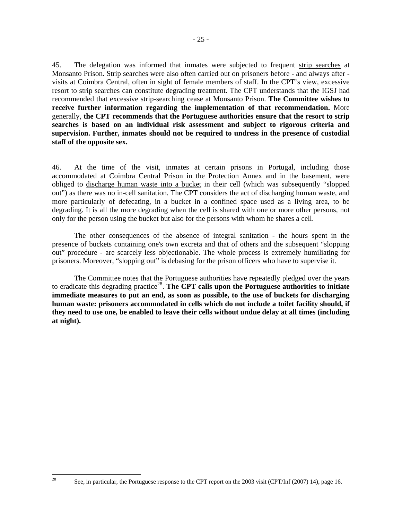45. The delegation was informed that inmates were subjected to frequent strip searches at Monsanto Prison. Strip searches were also often carried out on prisoners before - and always after visits at Coimbra Central, often in sight of female members of staff. In the CPT's view, excessive resort to strip searches can constitute degrading treatment. The CPT understands that the IGSJ had recommended that excessive strip-searching cease at Monsanto Prison. **The Committee wishes to receive further information regarding the implementation of that recommendation.** More generally, **the CPT recommends that the Portuguese authorities ensure that the resort to strip searches is based on an individual risk assessment and subject to rigorous criteria and supervision. Further, inmates should not be required to undress in the presence of custodial staff of the opposite sex.**

46. At the time of the visit, inmates at certain prisons in Portugal, including those accommodated at Coimbra Central Prison in the Protection Annex and in the basement, were obliged to discharge human waste into a bucket in their cell (which was subsequently "slopped out") as there was no in-cell sanitation. The CPT considers the act of discharging human waste, and more particularly of defecating, in a bucket in a confined space used as a living area, to be degrading. It is all the more degrading when the cell is shared with one or more other persons, not only for the person using the bucket but also for the persons with whom he shares a cell.

The other consequences of the absence of integral sanitation - the hours spent in the presence of buckets containing one's own excreta and that of others and the subsequent "slopping out" procedure - are scarcely less objectionable. The whole process is extremely humiliating for prisoners. Moreover, "slopping out" is debasing for the prison officers who have to supervise it.

The Committee notes that the Portuguese authorities have repeatedly pledged over the years to eradicate this degrading practice<sup>28</sup>. The CPT calls upon the Portuguese authorities to initiate **immediate measures to put an end, as soon as possible, to the use of buckets for discharging human waste: prisoners accommodated in cells which do not include a toilet facility should, if they need to use one, be enabled to leave their cells without undue delay at all times (including at night).** 

 $28$ 

<sup>28</sup> See, in particular, the Portuguese response to the CPT report on the 2003 visit (CPT/Inf (2007) 14), page 16.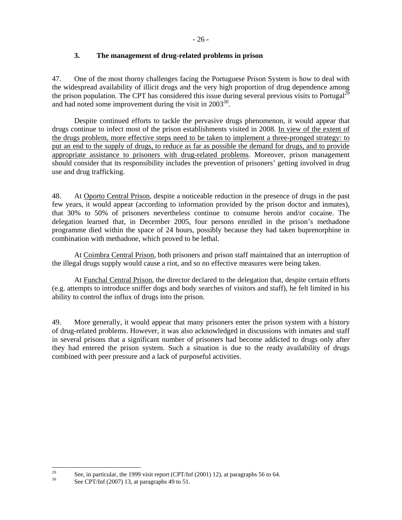# **3. The management of drug-related problems in prison**

47. One of the most thorny challenges facing the Portuguese Prison System is how to deal with the widespread availability of illicit drugs and the very high proportion of drug dependence among the prison population. The CPT has considered this issue during several previous visits to Portugal<sup>29</sup> and had noted some improvement during the visit in  $2003^{30}$ .

Despite continued efforts to tackle the pervasive drugs phenomenon, it would appear that drugs continue to infect most of the prison establishments visited in 2008. In view of the extent of the drugs problem, more effective steps need to be taken to implement a three-pronged strategy: to put an end to the supply of drugs, to reduce as far as possible the demand for drugs, and to provide appropriate assistance to prisoners with drug-related problems. Moreover, prison management should consider that its responsibility includes the prevention of prisoners' getting involved in drug use and drug trafficking.

48. At Oporto Central Prison, despite a noticeable reduction in the presence of drugs in the past few years, it would appear (according to information provided by the prison doctor and inmates), that 30% to 50% of prisoners nevertheless continue to consume heroin and/or cocaine. The delegation learned that, in December 2005, four persons enrolled in the prison's methadone programme died within the space of 24 hours, possibly because they had taken buprenorphine in combination with methadone, which proved to be lethal.

At Coimbra Central Prison, both prisoners and prison staff maintained that an interruption of the illegal drugs supply would cause a riot, and so no effective measures were being taken.

At Funchal Central Prison, the director declared to the delegation that, despite certain efforts (e.g. attempts to introduce sniffer dogs and body searches of visitors and staff), he felt limited in his ability to control the influx of drugs into the prison.

49. More generally, it would appear that many prisoners enter the prison system with a history of drug-related problems. However, it was also acknowledged in discussions with inmates and staff in several prisons that a significant number of prisoners had become addicted to drugs only after they had entered the prison system. Such a situation is due to the ready availability of drugs combined with peer pressure and a lack of purposeful activities.

 $29$ <sup>29</sup> See, in particular, the 1999 visit report (CPT/Inf (2001) 12), at paragraphs 56 to 64.<br><sup>30</sup> See CPT/Inf (2007) 13, at paragraphs 49 to 51.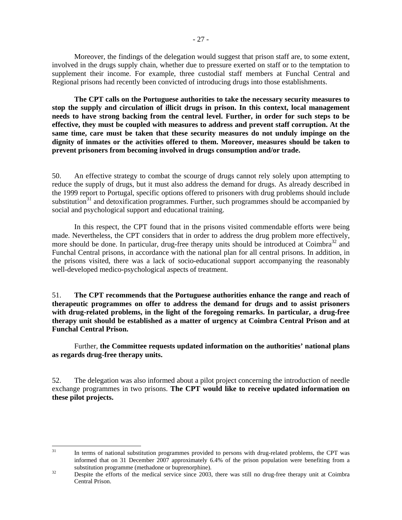Moreover, the findings of the delegation would suggest that prison staff are, to some extent, involved in the drugs supply chain, whether due to pressure exerted on staff or to the temptation to supplement their income. For example, three custodial staff members at Funchal Central and Regional prisons had recently been convicted of introducing drugs into those establishments.

**The CPT calls on the Portuguese authorities to take the necessary security measures to stop the supply and circulation of illicit drugs in prison. In this context, local management needs to have strong backing from the central level. Further, in order for such steps to be effective, they must be coupled with measures to address and prevent staff corruption. At the same time, care must be taken that these security measures do not unduly impinge on the dignity of inmates or the activities offered to them. Moreover, measures should be taken to prevent prisoners from becoming involved in drugs consumption and/or trade.** 

50. An effective strategy to combat the scourge of drugs cannot rely solely upon attempting to reduce the supply of drugs, but it must also address the demand for drugs. As already described in the 1999 report to Portugal, specific options offered to prisoners with drug problems should include substitution $31$  and detoxification programmes. Further, such programmes should be accompanied by social and psychological support and educational training.

 In this respect, the CPT found that in the prisons visited commendable efforts were being made. Nevertheless, the CPT considers that in order to address the drug problem more effectively, more should be done. In particular, drug-free therapy units should be introduced at Coimbra<sup>32</sup> and Funchal Central prisons, in accordance with the national plan for all central prisons. In addition, in the prisons visited, there was a lack of socio-educational support accompanying the reasonably well-developed medico-psychological aspects of treatment.

51. **The CPT recommends that the Portuguese authorities enhance the range and reach of therapeutic programmes on offer to address the demand for drugs and to assist prisoners with drug-related problems, in the light of the foregoing remarks. In particular, a drug-free therapy unit should be established as a matter of urgency at Coimbra Central Prison and at Funchal Central Prison.** 

Further, **the Committee requests updated information on the authorities' national plans as regards drug-free therapy units.** 

52. The delegation was also informed about a pilot project concerning the introduction of needle exchange programmes in two prisons. **The CPT would like to receive updated information on these pilot projects.** 

 $31$ In terms of national substitution programmes provided to persons with drug-related problems, the CPT was informed that on 31 December 2007 approximately 6.4% of the prison population were benefiting from a substitution programme (methadone or buprenorphine).<br><sup>32</sup> Despite the efforts of the medical service since 2003, there was still no drug-free therapy unit at Coimbra

Central Prison.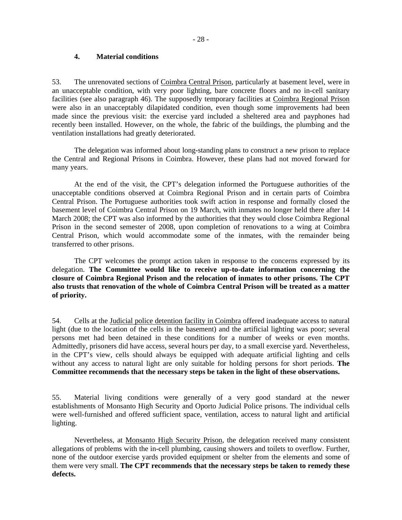### **4. Material conditions**

53. The unrenovated sections of Coimbra Central Prison, particularly at basement level, were in an unacceptable condition, with very poor lighting, bare concrete floors and no in-cell sanitary facilities (see also paragraph 46). The supposedly temporary facilities at Coimbra Regional Prison were also in an unacceptably dilapidated condition, even though some improvements had been made since the previous visit: the exercise yard included a sheltered area and payphones had recently been installed. However, on the whole, the fabric of the buildings, the plumbing and the ventilation installations had greatly deteriorated.

The delegation was informed about long-standing plans to construct a new prison to replace the Central and Regional Prisons in Coimbra. However, these plans had not moved forward for many years.

At the end of the visit, the CPT's delegation informed the Portuguese authorities of the unacceptable conditions observed at Coimbra Regional Prison and in certain parts of Coimbra Central Prison. The Portuguese authorities took swift action in response and formally closed the basement level of Coimbra Central Prison on 19 March, with inmates no longer held there after 14 March 2008; the CPT was also informed by the authorities that they would close Coimbra Regional Prison in the second semester of 2008, upon completion of renovations to a wing at Coimbra Central Prison, which would accommodate some of the inmates, with the remainder being transferred to other prisons.

The CPT welcomes the prompt action taken in response to the concerns expressed by its delegation. **The Committee would like to receive up-to-date information concerning the closure of Coimbra Regional Prison and the relocation of inmates to other prisons. The CPT also trusts that renovation of the whole of Coimbra Central Prison will be treated as a matter of priority.**

54. Cells at the Judicial police detention facility in Coimbra offered inadequate access to natural light (due to the location of the cells in the basement) and the artificial lighting was poor; several persons met had been detained in these conditions for a number of weeks or even months. Admittedly, prisoners did have access, several hours per day, to a small exercise yard. Nevertheless, in the CPT's view, cells should always be equipped with adequate artificial lighting and cells without any access to natural light are only suitable for holding persons for short periods. **The Committee recommends that the necessary steps be taken in the light of these observations.** 

55. Material living conditions were generally of a very good standard at the newer establishments of Monsanto High Security and Oporto Judicial Police prisons. The individual cells were well-furnished and offered sufficient space, ventilation, access to natural light and artificial lighting.

Nevertheless, at Monsanto High Security Prison, the delegation received many consistent allegations of problems with the in-cell plumbing, causing showers and toilets to overflow. Further, none of the outdoor exercise yards provided equipment or shelter from the elements and some of them were very small. **The CPT recommends that the necessary steps be taken to remedy these defects.**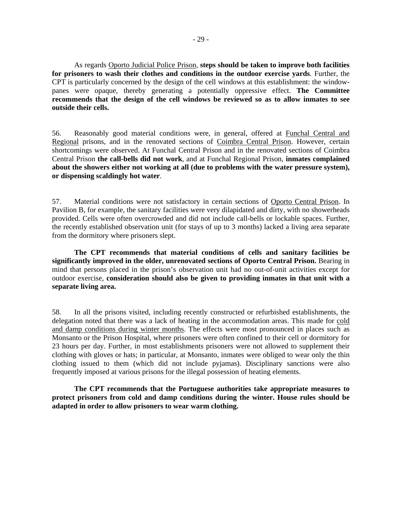As regards Oporto Judicial Police Prison, **steps should be taken to improve both facilities for prisoners to wash their clothes and conditions in the outdoor exercise yards**. Further, the CPT is particularly concerned by the design of the cell windows at this establishment: the windowpanes were opaque, thereby generating a potentially oppressive effect. **The Committee recommends that the design of the cell windows be reviewed so as to allow inmates to see outside their cells.**

56. Reasonably good material conditions were, in general, offered at Funchal Central and Regional prisons, and in the renovated sections of Coimbra Central Prison. However, certain shortcomings were observed. At Funchal Central Prison and in the renovated sections of Coimbra Central Prison **the call-bells did not work**, and at Funchal Regional Prison, **inmates complained about the showers either not working at all (due to problems with the water pressure system), or dispensing scaldingly hot water**.

57. Material conditions were not satisfactory in certain sections of Oporto Central Prison. In Pavilion B, for example, the sanitary facilities were very dilapidated and dirty, with no showerheads provided. Cells were often overcrowded and did not include call-bells or lockable spaces. Further, the recently established observation unit (for stays of up to 3 months) lacked a living area separate from the dormitory where prisoners slept.

**The CPT recommends that material conditions of cells and sanitary facilities be significantly improved in the older, unrenovated sections of Oporto Central Prison.** Bearing in mind that persons placed in the prison's observation unit had no out-of-unit activities except for outdoor exercise, **consideration should also be given to providing inmates in that unit with a separate living area.** 

58. In all the prisons visited, including recently constructed or refurbished establishments, the delegation noted that there was a lack of heating in the accommodation areas. This made for cold and damp conditions during winter months. The effects were most pronounced in places such as Monsanto or the Prison Hospital, where prisoners were often confined to their cell or dormitory for 23 hours per day. Further, in most establishments prisoners were not allowed to supplement their clothing with gloves or hats; in particular, at Monsanto, inmates were obliged to wear only the thin clothing issued to them (which did not include pyjamas). Disciplinary sanctions were also frequently imposed at various prisons for the illegal possession of heating elements.

**The CPT recommends that the Portuguese authorities take appropriate measures to protect prisoners from cold and damp conditions during the winter. House rules should be adapted in order to allow prisoners to wear warm clothing.**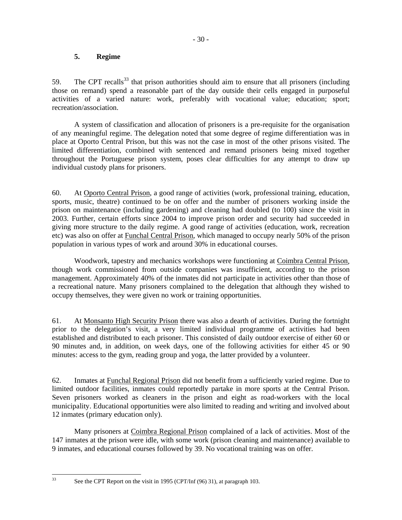# **5. Regime**

59. The CPT recalls<sup>33</sup> that prison authorities should aim to ensure that all prisoners (including those on remand) spend a reasonable part of the day outside their cells engaged in purposeful activities of a varied nature: work, preferably with vocational value; education; sport; recreation/association.

A system of classification and allocation of prisoners is a pre-requisite for the organisation of any meaningful regime. The delegation noted that some degree of regime differentiation was in place at Oporto Central Prison, but this was not the case in most of the other prisons visited. The limited differentiation, combined with sentenced and remand prisoners being mixed together throughout the Portuguese prison system, poses clear difficulties for any attempt to draw up individual custody plans for prisoners.

60. At Oporto Central Prison, a good range of activities (work, professional training, education, sports, music, theatre) continued to be on offer and the number of prisoners working inside the prison on maintenance (including gardening) and cleaning had doubled (to 100) since the visit in 2003. Further, certain efforts since 2004 to improve prison order and security had succeeded in giving more structure to the daily regime. A good range of activities (education, work, recreation etc) was also on offer at Funchal Central Prison, which managed to occupy nearly 50% of the prison population in various types of work and around 30% in educational courses.

Woodwork, tapestry and mechanics workshops were functioning at Coimbra Central Prison, though work commissioned from outside companies was insufficient, according to the prison management. Approximately 40% of the inmates did not participate in activities other than those of a recreational nature. Many prisoners complained to the delegation that although they wished to occupy themselves, they were given no work or training opportunities.

61. At Monsanto High Security Prison there was also a dearth of activities. During the fortnight prior to the delegation's visit, a very limited individual programme of activities had been established and distributed to each prisoner. This consisted of daily outdoor exercise of either 60 or 90 minutes and, in addition, on week days, one of the following activities for either 45 or 90 minutes: access to the gym, reading group and yoga, the latter provided by a volunteer.

62. Inmates at Funchal Regional Prison did not benefit from a sufficiently varied regime. Due to limited outdoor facilities, inmates could reportedly partake in more sports at the Central Prison. Seven prisoners worked as cleaners in the prison and eight as road-workers with the local municipality. Educational opportunities were also limited to reading and writing and involved about 12 inmates (primary education only).

Many prisoners at Coimbra Regional Prison complained of a lack of activities. Most of the 147 inmates at the prison were idle, with some work (prison cleaning and maintenance) available to 9 inmates, and educational courses followed by 39. No vocational training was on offer.

 $33$ 

See the CPT Report on the visit in 1995 (CPT/Inf (96) 31), at paragraph 103.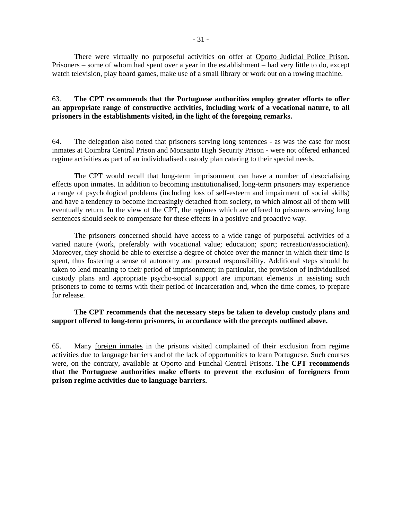There were virtually no purposeful activities on offer at Oporto Judicial Police Prison. Prisoners – some of whom had spent over a year in the establishment – had very little to do, except watch television, play board games, make use of a small library or work out on a rowing machine.

### 63. **The CPT recommends that the Portuguese authorities employ greater efforts to offer an appropriate range of constructive activities, including work of a vocational nature, to all prisoners in the establishments visited, in the light of the foregoing remarks.**

64. The delegation also noted that prisoners serving long sentences - as was the case for most inmates at Coimbra Central Prison and Monsanto High Security Prison - were not offered enhanced regime activities as part of an individualised custody plan catering to their special needs.

The CPT would recall that long-term imprisonment can have a number of desocialising effects upon inmates. In addition to becoming institutionalised, long-term prisoners may experience a range of psychological problems (including loss of self-esteem and impairment of social skills) and have a tendency to become increasingly detached from society, to which almost all of them will eventually return. In the view of the CPT, the regimes which are offered to prisoners serving long sentences should seek to compensate for these effects in a positive and proactive way.

 The prisoners concerned should have access to a wide range of purposeful activities of a varied nature (work, preferably with vocational value; education; sport; recreation/association). Moreover, they should be able to exercise a degree of choice over the manner in which their time is spent, thus fostering a sense of autonomy and personal responsibility. Additional steps should be taken to lend meaning to their period of imprisonment; in particular, the provision of individualised custody plans and appropriate psycho-social support are important elements in assisting such prisoners to come to terms with their period of incarceration and, when the time comes, to prepare for release.

### **The CPT recommends that the necessary steps be taken to develop custody plans and support offered to long-term prisoners, in accordance with the precepts outlined above.**

65. Many foreign inmates in the prisons visited complained of their exclusion from regime activities due to language barriers and of the lack of opportunities to learn Portuguese. Such courses were, on the contrary, available at Oporto and Funchal Central Prisons. **The CPT recommends that the Portuguese authorities make efforts to prevent the exclusion of foreigners from prison regime activities due to language barriers.**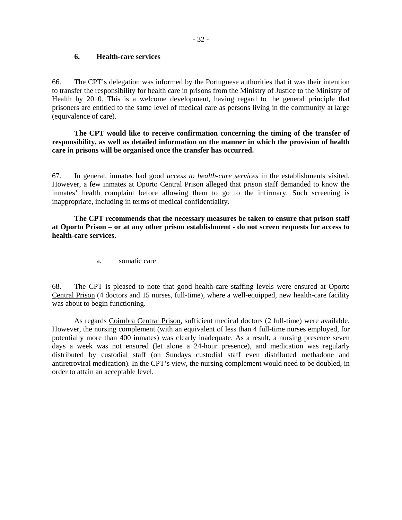### **6. Health-care services**

66. The CPT's delegation was informed by the Portuguese authorities that it was their intention to transfer the responsibility for health care in prisons from the Ministry of Justice to the Ministry of Health by 2010. This is a welcome development, having regard to the general principle that prisoners are entitled to the same level of medical care as persons living in the community at large (equivalence of care).

**The CPT would like to receive confirmation concerning the timing of the transfer of responsibility, as well as detailed information on the manner in which the provision of health care in prisons will be organised once the transfer has occurred.** 

67. In general, inmates had good *access to health-care services* in the establishments visited. However, a few inmates at Oporto Central Prison alleged that prison staff demanded to know the inmates' health complaint before allowing them to go to the infirmary. Such screening is inappropriate, including in terms of medical confidentiality.

**The CPT recommends that the necessary measures be taken to ensure that prison staff at Oporto Prison – or at any other prison establishment - do not screen requests for access to health-care services.** 

a. somatic care

68. The CPT is pleased to note that good health-care staffing levels were ensured at Oporto Central Prison (4 doctors and 15 nurses, full-time), where a well-equipped, new health-care facility was about to begin functioning.

 As regards Coimbra Central Prison, sufficient medical doctors (2 full-time) were available. However, the nursing complement (with an equivalent of less than 4 full-time nurses employed, for potentially more than 400 inmates) was clearly inadequate. As a result, a nursing presence seven days a week was not ensured (let alone a 24-hour presence), and medication was regularly distributed by custodial staff (on Sundays custodial staff even distributed methadone and antiretroviral medication). In the CPT's view, the nursing complement would need to be doubled, in order to attain an acceptable level.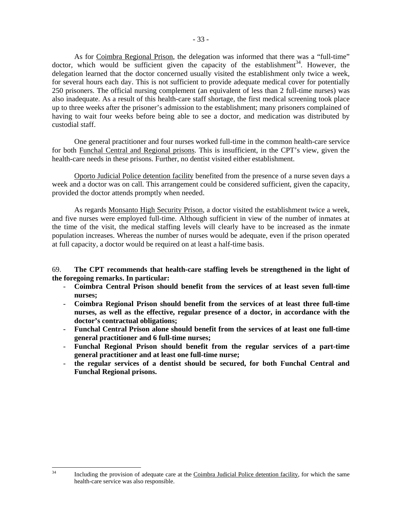As for Coimbra Regional Prison, the delegation was informed that there was a "full-time" doctor, which would be sufficient given the capacity of the establishment<sup>34</sup>. However, the delegation learned that the doctor concerned usually visited the establishment only twice a week, for several hours each day. This is not sufficient to provide adequate medical cover for potentially 250 prisoners. The official nursing complement (an equivalent of less than 2 full-time nurses) was also inadequate. As a result of this health-care staff shortage, the first medical screening took place up to three weeks after the prisoner's admission to the establishment; many prisoners complained of having to wait four weeks before being able to see a doctor, and medication was distributed by custodial staff.

 One general practitioner and four nurses worked full-time in the common health-care service for both Funchal Central and Regional prisons. This is insufficient, in the CPT's view, given the health-care needs in these prisons. Further, no dentist visited either establishment.

Oporto Judicial Police detention facility benefited from the presence of a nurse seven days a week and a doctor was on call. This arrangement could be considered sufficient, given the capacity, provided the doctor attends promptly when needed.

 As regards Monsanto High Security Prison, a doctor visited the establishment twice a week, and five nurses were employed full-time. Although sufficient in view of the number of inmates at the time of the visit, the medical staffing levels will clearly have to be increased as the inmate population increases. Whereas the number of nurses would be adequate, even if the prison operated at full capacity, a doctor would be required on at least a half-time basis.

69. **The CPT recommends that health-care staffing levels be strengthened in the light of the foregoing remarks. In particular:** 

- **Coimbra Central Prison should benefit from the services of at least seven full-time nurses;**
- **Coimbra Regional Prison should benefit from the services of at least three full-time nurses, as well as the effective, regular presence of a doctor, in accordance with the doctor's contractual obligations;**
- **Funchal Central Prison alone should benefit from the services of at least one full-time general practitioner and 6 full-time nurses;**
- **Funchal Regional Prison should benefit from the regular services of a part-time general practitioner and at least one full-time nurse;**
- **the regular services of a dentist should be secured, for both Funchal Central and Funchal Regional prisons.**

 $34$ 

Including the provision of adequate care at the Coimbra Judicial Police detention facility, for which the same health-care service was also responsible.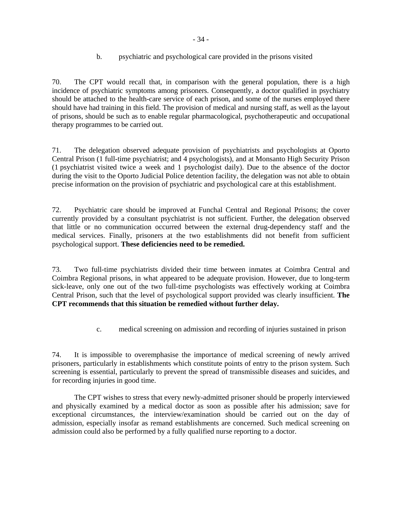# b. psychiatric and psychological care provided in the prisons visited

70. The CPT would recall that, in comparison with the general population, there is a high incidence of psychiatric symptoms among prisoners. Consequently, a doctor qualified in psychiatry should be attached to the health-care service of each prison, and some of the nurses employed there should have had training in this field. The provision of medical and nursing staff, as well as the layout of prisons, should be such as to enable regular pharmacological, psychotherapeutic and occupational therapy programmes to be carried out.

71. The delegation observed adequate provision of psychiatrists and psychologists at Oporto Central Prison (1 full-time psychiatrist; and 4 psychologists), and at Monsanto High Security Prison (1 psychiatrist visited twice a week and 1 psychologist daily). Due to the absence of the doctor during the visit to the Oporto Judicial Police detention facility, the delegation was not able to obtain precise information on the provision of psychiatric and psychological care at this establishment.

72. Psychiatric care should be improved at Funchal Central and Regional Prisons; the cover currently provided by a consultant psychiatrist is not sufficient. Further, the delegation observed that little or no communication occurred between the external drug-dependency staff and the medical services. Finally, prisoners at the two establishments did not benefit from sufficient psychological support. **These deficiencies need to be remedied.** 

73. Two full-time psychiatrists divided their time between inmates at Coimbra Central and Coimbra Regional prisons, in what appeared to be adequate provision. However, due to long-term sick-leave, only one out of the two full-time psychologists was effectively working at Coimbra Central Prison, such that the level of psychological support provided was clearly insufficient. **The CPT recommends that this situation be remedied without further delay.** 

c. medical screening on admission and recording of injuries sustained in prison

74. It is impossible to overemphasise the importance of medical screening of newly arrived prisoners, particularly in establishments which constitute points of entry to the prison system. Such screening is essential, particularly to prevent the spread of transmissible diseases and suicides, and for recording injuries in good time.

 The CPT wishes to stress that every newly-admitted prisoner should be properly interviewed and physically examined by a medical doctor as soon as possible after his admission; save for exceptional circumstances, the interview/examination should be carried out on the day of admission, especially insofar as remand establishments are concerned. Such medical screening on admission could also be performed by a fully qualified nurse reporting to a doctor.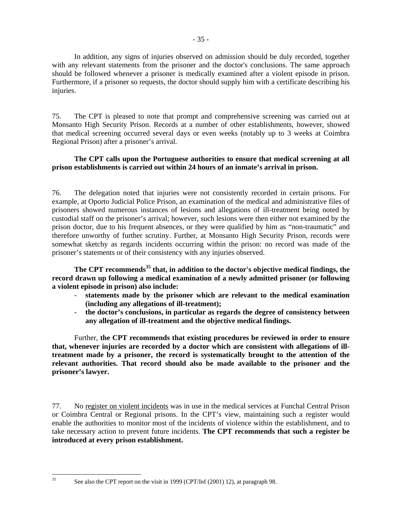In addition, any signs of injuries observed on admission should be duly recorded, together with any relevant statements from the prisoner and the doctor's conclusions. The same approach should be followed whenever a prisoner is medically examined after a violent episode in prison. Furthermore, if a prisoner so requests, the doctor should supply him with a certificate describing his injuries.

75. The CPT is pleased to note that prompt and comprehensive screening was carried out at Monsanto High Security Prison. Records at a number of other establishments, however, showed that medical screening occurred several days or even weeks (notably up to 3 weeks at Coimbra Regional Prison) after a prisoner's arrival.

# **The CPT calls upon the Portuguese authorities to ensure that medical screening at all prison establishments is carried out within 24 hours of an inmate's arrival in prison.**

76. The delegation noted that injuries were not consistently recorded in certain prisons. For example, at Oporto Judicial Police Prison, an examination of the medical and administrative files of prisoners showed numerous instances of lesions and allegations of ill-treatment being noted by custodial staff on the prisoner's arrival; however, such lesions were then either not examined by the prison doctor, due to his frequent absences, or they were qualified by him as "non-traumatic" and therefore unworthy of further scrutiny. Further, at Monsanto High Security Prison, records were somewhat sketchy as regards incidents occurring within the prison: no record was made of the prisoner's statements or of their consistency with any injuries observed.

The CPT recommends<sup>35</sup> that, in addition to the doctor's objective medical findings, the **record drawn up following a medical examination of a newly admitted prisoner (or following a violent episode in prison) also include:** 

- **statements made by the prisoner which are relevant to the medical examination (including any allegations of ill-treatment);**
- **the doctor's conclusions, in particular as regards the degree of consistency between any allegation of ill-treatment and the objective medical findings.**

Further, **the CPT recommends that existing procedures be reviewed in order to ensure that, whenever injuries are recorded by a doctor which are consistent with allegations of illtreatment made by a prisoner, the record is systematically brought to the attention of the relevant authorities. That record should also be made available to the prisoner and the prisoner's lawyer.**

77. No register on violent incidents was in use in the medical services at Funchal Central Prison or Coimbra Central or Regional prisons. In the CPT's view, maintaining such a register would enable the authorities to monitor most of the incidents of violence within the establishment, and to take necessary action to prevent future incidents. **The CPT recommends that such a register be introduced at every prison establishment.** 

 $35$ 

See also the CPT report on the visit in 1999 (CPT/Inf (2001) 12), at paragraph 98.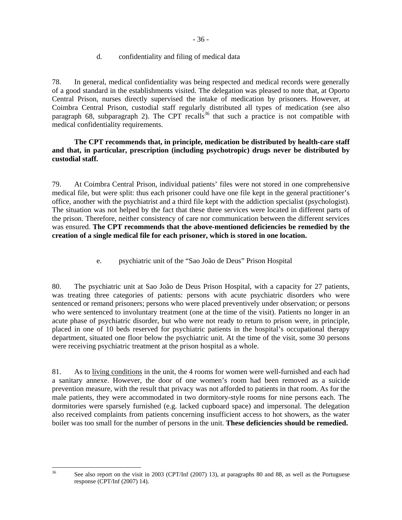# d. confidentiality and filing of medical data

78. In general, medical confidentiality was being respected and medical records were generally of a good standard in the establishments visited. The delegation was pleased to note that, at Oporto Central Prison, nurses directly supervised the intake of medication by prisoners. However, at Coimbra Central Prison, custodial staff regularly distributed all types of medication (see also paragraph 68, subparagraph 2). The CPT recalls<sup>36</sup> that such a practice is not compatible with medical confidentiality requirements.

# **The CPT recommends that, in principle, medication be distributed by health-care staff and that, in particular, prescription (including psychotropic) drugs never be distributed by custodial staff.**

79. At Coimbra Central Prison, individual patients' files were not stored in one comprehensive medical file, but were split: thus each prisoner could have one file kept in the general practitioner's office, another with the psychiatrist and a third file kept with the addiction specialist (psychologist). The situation was not helped by the fact that these three services were located in different parts of the prison. Therefore, neither consistency of care nor communication between the different services was ensured. **The CPT recommends that the above-mentioned deficiencies be remedied by the creation of a single medical file for each prisoner, which is stored in one location.** 

e. psychiatric unit of the "Sao João de Deus" Prison Hospital

80. The psychiatric unit at Sao João de Deus Prison Hospital, with a capacity for 27 patients, was treating three categories of patients: persons with acute psychiatric disorders who were sentenced or remand prisoners; persons who were placed preventively under observation; or persons who were sentenced to involuntary treatment (one at the time of the visit). Patients no longer in an acute phase of psychiatric disorder, but who were not ready to return to prison were, in principle, placed in one of 10 beds reserved for psychiatric patients in the hospital's occupational therapy department, situated one floor below the psychiatric unit. At the time of the visit, some 30 persons were receiving psychiatric treatment at the prison hospital as a whole.

81. As to living conditions in the unit, the 4 rooms for women were well-furnished and each had a sanitary annexe. However, the door of one women's room had been removed as a suicide prevention measure, with the result that privacy was not afforded to patients in that room. As for the male patients, they were accommodated in two dormitory-style rooms for nine persons each. The dormitories were sparsely furnished (e.g. lacked cupboard space) and impersonal. The delegation also received complaints from patients concerning insufficient access to hot showers, as the water boiler was too small for the number of persons in the unit. **These deficiencies should be remedied.** 

 $36$ 

See also report on the visit in 2003 (CPT/Inf (2007) 13), at paragraphs 80 and 88, as well as the Portuguese response (CPT/Inf (2007) 14).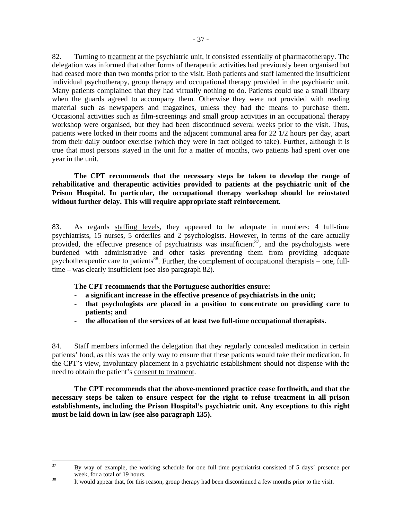82. Turning to treatment at the psychiatric unit, it consisted essentially of pharmacotherapy. The delegation was informed that other forms of therapeutic activities had previously been organised but had ceased more than two months prior to the visit. Both patients and staff lamented the insufficient individual psychotherapy, group therapy and occupational therapy provided in the psychiatric unit. Many patients complained that they had virtually nothing to do. Patients could use a small library when the guards agreed to accompany them. Otherwise they were not provided with reading material such as newspapers and magazines, unless they had the means to purchase them. Occasional activities such as film-screenings and small group activities in an occupational therapy workshop were organised, but they had been discontinued several weeks prior to the visit. Thus, patients were locked in their rooms and the adjacent communal area for 22 1/2 hours per day, apart from their daily outdoor exercise (which they were in fact obliged to take). Further, although it is true that most persons stayed in the unit for a matter of months, two patients had spent over one year in the unit.

**The CPT recommends that the necessary steps be taken to develop the range of rehabilitative and therapeutic activities provided to patients at the psychiatric unit of the Prison Hospital. In particular, the occupational therapy workshop should be reinstated without further delay. This will require appropriate staff reinforcement.** 

83. As regards staffing levels, they appeared to be adequate in numbers: 4 full-time psychiatrists, 15 nurses, 5 orderlies and 2 psychologists. However, in terms of the care actually provided, the effective presence of psychiatrists was insufficient<sup>37</sup>, and the psychologists were burdened with administrative and other tasks preventing them from providing adequate psychotherapeutic care to patients<sup>38</sup>. Further, the complement of occupational therapists – one, fulltime – was clearly insufficient (see also paragraph 82).

**The CPT recommends that the Portuguese authorities ensure:** 

- a significant increase in the effective presence of psychiatrists in the unit;
- **that psychologists are placed in a position to concentrate on providing care to patients; and**
- **the allocation of the services of at least two full-time occupational therapists.**

84. Staff members informed the delegation that they regularly concealed medication in certain patients' food, as this was the only way to ensure that these patients would take their medication. In the CPT's view, involuntary placement in a psychiatric establishment should not dispense with the need to obtain the patient's consent to treatment.

**The CPT recommends that the above-mentioned practice cease forthwith, and that the necessary steps be taken to ensure respect for the right to refuse treatment in all prison establishments, including the Prison Hospital's psychiatric unit. Any exceptions to this right must be laid down in law (see also paragraph 135).**

 $37$ 37 By way of example, the working schedule for one full-time psychiatrist consisted of 5 days' presence per week, for a total of 19 hours.<br><sup>38</sup> It would appear that, for this reason, group therapy had been discontinued a few months prior to the visit.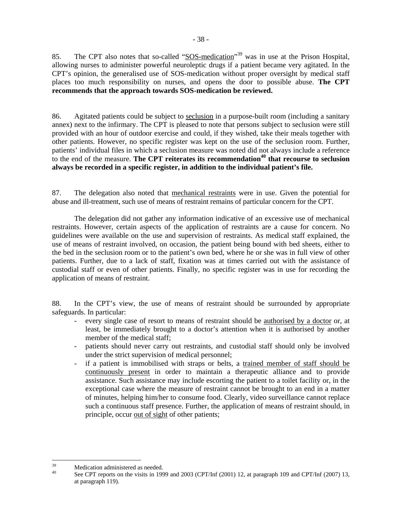85. The CPT also notes that so-called "SOS-medication"<sup>39</sup> was in use at the Prison Hospital, allowing nurses to administer powerful neuroleptic drugs if a patient became very agitated. In the CPT's opinion, the generalised use of SOS-medication without proper oversight by medical staff places too much responsibility on nurses, and opens the door to possible abuse. **The CPT recommends that the approach towards SOS-medication be reviewed.** 

86. Agitated patients could be subject to seclusion in a purpose-built room (including a sanitary annex) next to the infirmary. The CPT is pleased to note that persons subject to seclusion were still provided with an hour of outdoor exercise and could, if they wished, take their meals together with other patients. However, no specific register was kept on the use of the seclusion room. Further, patients' individual files in which a seclusion measure was noted did not always include a reference to the end of the measure. **The CPT reiterates its recommendation40 that recourse to seclusion always be recorded in a specific register, in addition to the individual patient's file.** 

87. The delegation also noted that mechanical restraints were in use. Given the potential for abuse and ill-treatment, such use of means of restraint remains of particular concern for the CPT.

The delegation did not gather any information indicative of an excessive use of mechanical restraints. However, certain aspects of the application of restraints are a cause for concern. No guidelines were available on the use and supervision of restraints. As medical staff explained, the use of means of restraint involved, on occasion, the patient being bound with bed sheets, either to the bed in the seclusion room or to the patient's own bed, where he or she was in full view of other patients. Further, due to a lack of staff, fixation was at times carried out with the assistance of custodial staff or even of other patients. Finally, no specific register was in use for recording the application of means of restraint.

88. In the CPT's view, the use of means of restraint should be surrounded by appropriate safeguards. In particular:

- every single case of resort to means of restraint should be authorised by a doctor or, at least, be immediately brought to a doctor's attention when it is authorised by another member of the medical staff;
- patients should never carry out restraints, and custodial staff should only be involved under the strict supervision of medical personnel;
- if a patient is immobilised with straps or belts, a trained member of staff should be continuously present in order to maintain a therapeutic alliance and to provide assistance. Such assistance may include escorting the patient to a toilet facility or, in the exceptional case where the measure of restraint cannot be brought to an end in a matter of minutes, helping him/her to consume food. Clearly, video surveillance cannot replace such a continuous staff presence. Further, the application of means of restraint should, in principle, occur out of sight of other patients;

<sup>39</sup>  $39$  Medication administered as needed.

See CPT reports on the visits in 1999 and 2003 (CPT/Inf (2001) 12, at paragraph 109 and CPT/Inf (2007) 13, at paragraph 119).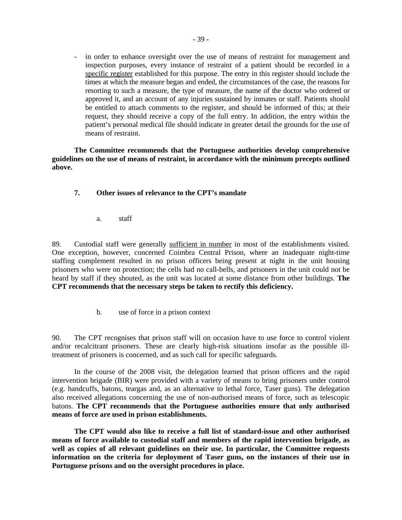- in order to enhance oversight over the use of means of restraint for management and inspection purposes, every instance of restraint of a patient should be recorded in a specific register established for this purpose. The entry in this register should include the times at which the measure began and ended, the circumstances of the case, the reasons for resorting to such a measure, the type of measure, the name of the doctor who ordered or approved it, and an account of any injuries sustained by inmates or staff. Patients should be entitled to attach comments to the register, and should be informed of this; at their request, they should receive a copy of the full entry. In addition, the entry within the patient's personal medical file should indicate in greater detail the grounds for the use of means of restraint.

 **The Committee recommends that the Portuguese authorities develop comprehensive guidelines on the use of means of restraint, in accordance with the minimum precepts outlined above.** 

## **7. Other issues of relevance to the CPT's mandate**

a. staff

89. Custodial staff were generally sufficient in number in most of the establishments visited. One exception, however, concerned Coimbra Central Prison, where an inadequate night-time staffing complement resulted in no prison officers being present at night in the unit housing prisoners who were on protection; the cells had no call-bells, and prisoners in the unit could not be heard by staff if they shouted, as the unit was located at some distance from other buildings. **The CPT recommends that the necessary steps be taken to rectify this deficiency.** 

b. use of force in a prison context

90. The CPT recognises that prison staff will on occasion have to use force to control violent and/or recalcitrant prisoners. These are clearly high-risk situations insofar as the possible illtreatment of prisoners is concerned, and as such call for specific safeguards.

 In the course of the 2008 visit, the delegation learned that prison officers and the rapid intervention brigade (BIR) were provided with a variety of means to bring prisoners under control (e.g. handcuffs, batons, teargas and, as an alternative to lethal force, Taser guns). The delegation also received allegations concerning the use of non-authorised means of force, such as telescopic batons. **The CPT recommends that the Portuguese authorities ensure that only authorised means of force are used in prison establishments.** 

**The CPT would also like to receive a full list of standard-issue and other authorised means of force available to custodial staff and members of the rapid intervention brigade, as well as copies of all relevant guidelines on their use. In particular, the Committee requests information on the criteria for deployment of Taser guns, on the instances of their use in Portuguese prisons and on the oversight procedures in place.**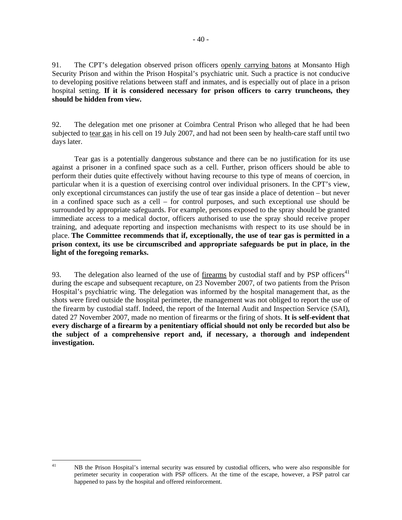91. The CPT's delegation observed prison officers openly carrying batons at Monsanto High Security Prison and within the Prison Hospital's psychiatric unit. Such a practice is not conducive to developing positive relations between staff and inmates, and is especially out of place in a prison hospital setting. **If it is considered necessary for prison officers to carry truncheons, they should be hidden from view.**

92. The delegation met one prisoner at Coimbra Central Prison who alleged that he had been subjected to tear gas in his cell on 19 July 2007, and had not been seen by health-care staff until two days later.

Tear gas is a potentially dangerous substance and there can be no justification for its use against a prisoner in a confined space such as a cell. Further, prison officers should be able to perform their duties quite effectively without having recourse to this type of means of coercion, in particular when it is a question of exercising control over individual prisoners. In the CPT's view, only exceptional circumstances can justify the use of tear gas inside a place of detention – but never in a confined space such as a cell – for control purposes, and such exceptional use should be surrounded by appropriate safeguards. For example, persons exposed to the spray should be granted immediate access to a medical doctor, officers authorised to use the spray should receive proper training, and adequate reporting and inspection mechanisms with respect to its use should be in place. **The Committee recommends that if, exceptionally, the use of tear gas is permitted in a prison context, its use be circumscribed and appropriate safeguards be put in place, in the light of the foregoing remarks.** 

93. The delegation also learned of the use of firearms by custodial staff and by PSP officers<sup>41</sup> during the escape and subsequent recapture, on 23 November 2007, of two patients from the Prison Hospital's psychiatric wing. The delegation was informed by the hospital management that, as the shots were fired outside the hospital perimeter, the management was not obliged to report the use of the firearm by custodial staff. Indeed, the report of the Internal Audit and Inspection Service (SAI), dated 27 November 2007, made no mention of firearms or the firing of shots. **It is self-evident that every discharge of a firearm by a penitentiary official should not only be recorded but also be the subject of a comprehensive report and, if necessary, a thorough and independent investigation.**

 $41$ 

<sup>41</sup> NB the Prison Hospital's internal security was ensured by custodial officers, who were also responsible for perimeter security in cooperation with PSP officers. At the time of the escape, however, a PSP patrol car happened to pass by the hospital and offered reinforcement.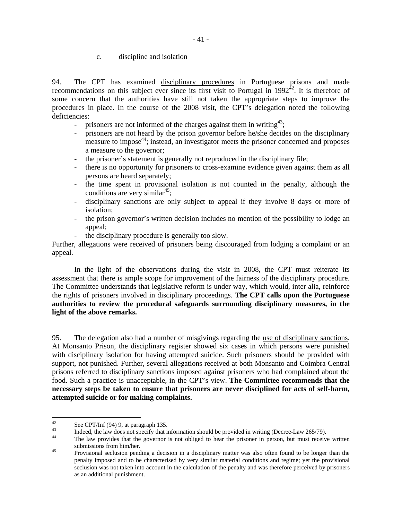c. discipline and isolation

94. The CPT has examined disciplinary procedures in Portuguese prisons and made recommendations on this subject ever since its first visit to Portugal in  $1992^{42}$ . It is therefore of some concern that the authorities have still not taken the appropriate steps to improve the procedures in place. In the course of the 2008 visit, the CPT's delegation noted the following deficiencies:

- prisoners are not informed of the charges against them in writing  $43$ ;
- prisoners are not heard by the prison governor before he/she decides on the disciplinary measure to impose<sup>44</sup>; instead, an investigator meets the prisoner concerned and proposes a measure to the governor;
- the prisoner's statement is generally not reproduced in the disciplinary file;
- there is no opportunity for prisoners to cross-examine evidence given against them as all persons are heard separately;
- the time spent in provisional isolation is not counted in the penalty, although the conditions are very similar<sup>45</sup>;
- disciplinary sanctions are only subject to appeal if they involve 8 days or more of isolation;
- the prison governor's written decision includes no mention of the possibility to lodge an appeal;
- the disciplinary procedure is generally too slow.

Further, allegations were received of prisoners being discouraged from lodging a complaint or an appeal.

In the light of the observations during the visit in 2008, the CPT must reiterate its assessment that there is ample scope for improvement of the fairness of the disciplinary procedure. The Committee understands that legislative reform is under way, which would, inter alia, reinforce the rights of prisoners involved in disciplinary proceedings. **The CPT calls upon the Portuguese authorities to review the procedural safeguards surrounding disciplinary measures, in the light of the above remarks.**

95. The delegation also had a number of misgivings regarding the use of disciplinary sanctions. At Monsanto Prison, the disciplinary register showed six cases in which persons were punished with disciplinary isolation for having attempted suicide. Such prisoners should be provided with support, not punished. Further, several allegations received at both Monsanto and Coimbra Central prisons referred to disciplinary sanctions imposed against prisoners who had complained about the food. Such a practice is unacceptable, in the CPT's view. **The Committee recommends that the necessary steps be taken to ensure that prisoners are never disciplined for acts of self-harm, attempted suicide or for making complaints.** 

 $42$  $\frac{42}{13}$  See CPT/Inf (94) 9, at paragraph 135.

 $^{43}$  Indeed, the law does not specify that information should be provided in writing (Decree-Law 265/79).

The law provides that the governor is not obliged to hear the prisoner in person, but must receive written

submissions from him/her.<br><sup>45</sup> Provisional seclusion pending a decision in a disciplinary matter was also often found to be longer than the penalty imposed and to be characterised by very similar material conditions and regime; yet the provisional seclusion was not taken into account in the calculation of the penalty and was therefore perceived by prisoners as an additional punishment.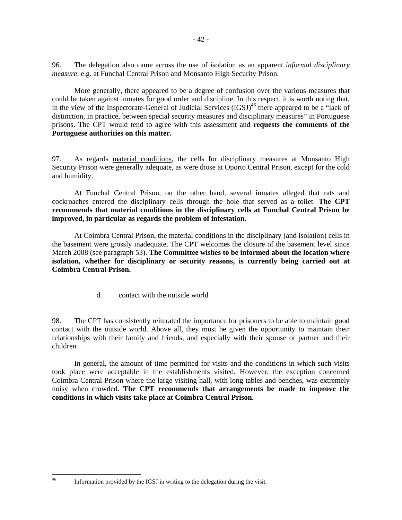96. The delegation also came across the use of isolation as an apparent *informal disciplinary measure*, e.g. at Funchal Central Prison and Monsanto High Security Prison.

 More generally, there appeared to be a degree of confusion over the various measures that could be taken against inmates for good order and discipline. In this respect, it is worth noting that, in the view of the Inspectorate-General of Judicial Services  $(IGSJ)^{46}$  there appeared to be a "lack of distinction, in practice, between special security measures and disciplinary measures" in Portuguese prisons. The CPT would tend to agree with this assessment and **requests the comments of the Portuguese authorities on this matter.** 

97. As regards material conditions, the cells for disciplinary measures at Monsanto High Security Prison were generally adequate, as were those at Oporto Central Prison, except for the cold and humidity.

At Funchal Central Prison, on the other hand, several inmates alleged that rats and cockroaches entered the disciplinary cells through the hole that served as a toilet. **The CPT recommends that material conditions in the disciplinary cells at Funchal Central Prison be improved, in particular as regards the problem of infestation.**

 At Coimbra Central Prison, the material conditions in the disciplinary (and isolation) cells in the basement were grossly inadequate. The CPT welcomes the closure of the basement level since March 2008 (see paragraph 53). **The Committee wishes to be informed about the location where isolation, whether for disciplinary or security reasons, is currently being carried out at Coimbra Central Prison.** 

d. contact with the outside world

98. The CPT has consistently reiterated the importance for prisoners to be able to maintain good contact with the outside world. Above all, they must be given the opportunity to maintain their relationships with their family and friends, and especially with their spouse or partner and their children.

In general, the amount of time permitted for visits and the conditions in which such visits took place were acceptable in the establishments visited. However, the exception concerned Coimbra Central Prison where the large visiting hall, with long tables and benches, was extremely noisy when crowded. **The CPT recommends that arrangements be made to improve the conditions in which visits take place at Coimbra Central Prison.**

 $46$ 

Information provided by the IGSJ in writing to the delegation during the visit.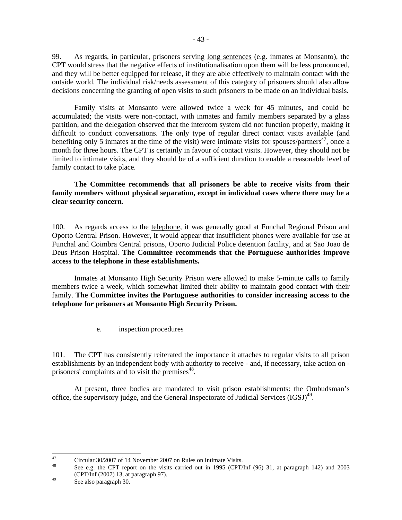99. As regards, in particular, prisoners serving long sentences (e.g. inmates at Monsanto), the CPT would stress that the negative effects of institutionalisation upon them will be less pronounced, and they will be better equipped for release, if they are able effectively to maintain contact with the outside world. The individual risk/needs assessment of this category of prisoners should also allow decisions concerning the granting of open visits to such prisoners to be made on an individual basis.

Family visits at Monsanto were allowed twice a week for 45 minutes, and could be accumulated; the visits were non-contact, with inmates and family members separated by a glass partition, and the delegation observed that the intercom system did not function properly, making it difficult to conduct conversations. The only type of regular direct contact visits available (and benefiting only 5 inmates at the time of the visit) were intimate visits for spouses/partners<sup>47</sup>, once a month for three hours. The CPT is certainly in favour of contact visits. However, they should not be limited to intimate visits, and they should be of a sufficient duration to enable a reasonable level of family contact to take place.

**The Committee recommends that all prisoners be able to receive visits from their family members without physical separation, except in individual cases where there may be a clear security concern.**

100. As regards access to the telephone, it was generally good at Funchal Regional Prison and Oporto Central Prison. However, it would appear that insufficient phones were available for use at Funchal and Coimbra Central prisons, Oporto Judicial Police detention facility, and at Sao Joao de Deus Prison Hospital. **The Committee recommends that the Portuguese authorities improve access to the telephone in these establishments.** 

Inmates at Monsanto High Security Prison were allowed to make 5-minute calls to family members twice a week, which somewhat limited their ability to maintain good contact with their family. **The Committee invites the Portuguese authorities to consider increasing access to the telephone for prisoners at Monsanto High Security Prison.**

e. inspection procedures

101. The CPT has consistently reiterated the importance it attaches to regular visits to all prison establishments by an independent body with authority to receive - and, if necessary, take action on prisoners' complaints and to visit the premises<sup>48</sup>.

 At present, three bodies are mandated to visit prison establishments: the Ombudsman's office, the supervisory judge, and the General Inspectorate of Judicial Services  $(IGSJ)^{49}$ .

 $47$  $^{47}$  Circular 30/2007 of 14 November 2007 on Rules on Intimate Visits.

See e.g. the CPT report on the visits carried out in 1995 (CPT/Inf (96) 31, at paragraph 142) and 2003 (CPT/Inf (2007) 13, at paragraph 97).<br>See also paragraph 30.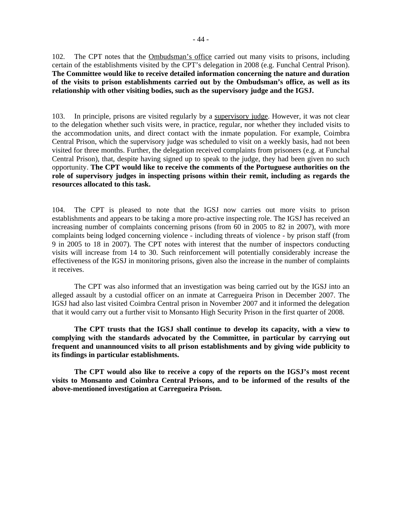102. The CPT notes that the Ombudsman's office carried out many visits to prisons, including certain of the establishments visited by the CPT's delegation in 2008 (e.g. Funchal Central Prison). **The Committee would like to receive detailed information concerning the nature and duration of the visits to prison establishments carried out by the Ombudsman's office, as well as its relationship with other visiting bodies, such as the supervisory judge and the IGSJ.** 

103. In principle, prisons are visited regularly by a supervisory judge. However, it was not clear to the delegation whether such visits were, in practice, regular, nor whether they included visits to the accommodation units, and direct contact with the inmate population. For example, Coimbra Central Prison, which the supervisory judge was scheduled to visit on a weekly basis, had not been visited for three months. Further, the delegation received complaints from prisoners (e.g. at Funchal Central Prison), that, despite having signed up to speak to the judge, they had been given no such opportunity. **The CPT would like to receive the comments of the Portuguese authorities on the role of supervisory judges in inspecting prisons within their remit, including as regards the resources allocated to this task.** 

104. The CPT is pleased to note that the IGSJ now carries out more visits to prison establishments and appears to be taking a more pro-active inspecting role. The IGSJ has received an increasing number of complaints concerning prisons (from 60 in 2005 to 82 in 2007), with more complaints being lodged concerning violence - including threats of violence - by prison staff (from 9 in 2005 to 18 in 2007). The CPT notes with interest that the number of inspectors conducting visits will increase from 14 to 30. Such reinforcement will potentially considerably increase the effectiveness of the IGSJ in monitoring prisons, given also the increase in the number of complaints it receives.

The CPT was also informed that an investigation was being carried out by the IGSJ into an alleged assault by a custodial officer on an inmate at Carregueira Prison in December 2007. The IGSJ had also last visited Coimbra Central prison in November 2007 and it informed the delegation that it would carry out a further visit to Monsanto High Security Prison in the first quarter of 2008.

**The CPT trusts that the IGSJ shall continue to develop its capacity, with a view to complying with the standards advocated by the Committee, in particular by carrying out frequent and unannounced visits to all prison establishments and by giving wide publicity to its findings in particular establishments.** 

**The CPT would also like to receive a copy of the reports on the IGSJ's most recent visits to Monsanto and Coimbra Central Prisons, and to be informed of the results of the above-mentioned investigation at Carregueira Prison.**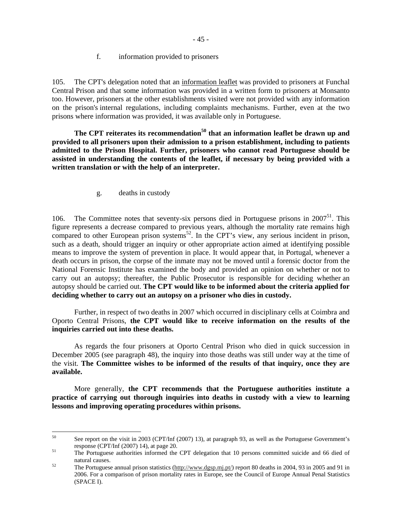#### f. information provided to prisoners

105. The CPT's delegation noted that an information leaflet was provided to prisoners at Funchal Central Prison and that some information was provided in a written form to prisoners at Monsanto too. However, prisoners at the other establishments visited were not provided with any information on the prison's internal regulations, including complaints mechanisms. Further, even at the two prisons where information was provided, it was available only in Portuguese.

**The CPT reiterates its recommendation50 that an information leaflet be drawn up and provided to all prisoners upon their admission to a prison establishment, including to patients admitted to the Prison Hospital. Further, prisoners who cannot read Portuguese should be assisted in understanding the contents of the leaflet, if necessary by being provided with a written translation or with the help of an interpreter.**

g. deaths in custody

106. The Committee notes that seventy-six persons died in Portuguese prisons in  $2007<sup>51</sup>$ . This figure represents a decrease compared to previous years, although the mortality rate remains high compared to other European prison systems<sup>52</sup>. In the CPT's view, any serious incident in prison, such as a death, should trigger an inquiry or other appropriate action aimed at identifying possible means to improve the system of prevention in place. It would appear that, in Portugal, whenever a death occurs in prison, the corpse of the inmate may not be moved until a forensic doctor from the National Forensic Institute has examined the body and provided an opinion on whether or not to carry out an autopsy; thereafter, the Public Prosecutor is responsible for deciding whether an autopsy should be carried out. **The CPT would like to be informed about the criteria applied for deciding whether to carry out an autopsy on a prisoner who dies in custody.**

Further, in respect of two deaths in 2007 which occurred in disciplinary cells at Coimbra and Oporto Central Prisons, **the CPT would like to receive information on the results of the inquiries carried out into these deaths.** 

As regards the four prisoners at Oporto Central Prison who died in quick succession in December 2005 (see paragraph 48), the inquiry into those deaths was still under way at the time of the visit. **The Committee wishes to be informed of the results of that inquiry, once they are available.** 

More generally, **the CPT recommends that the Portuguese authorities institute a practice of carrying out thorough inquiries into deaths in custody with a view to learning lessons and improving operating procedures within prisons.** 

<sup>50</sup> See report on the visit in 2003 (CPT/Inf (2007) 13), at paragraph 93, as well as the Portuguese Government's response (CPT/Inf (2007) 14), at page 20.<br>
The Portuguese authorities informed the CPT delegation that 10 persons committed suicide and 66 died of

natural causes.<br>The Portuguese annual prison statistics (http://www.dgsp.mj.pt/) report 80 deaths in 2004, 93 in 2005 and 91 in 2006. For a comparison of prison mortality rates in Europe, see the Council of Europe Annual Penal Statistics (SPACE I).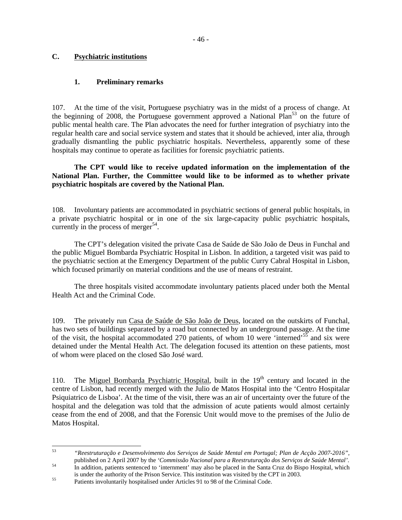## **C. Psychiatric institutions**

## **1. Preliminary remarks**

107. At the time of the visit, Portuguese psychiatry was in the midst of a process of change. At the beginning of 2008, the Portuguese government approved a National Plan<sup>53</sup> on the future of public mental health care. The Plan advocates the need for further integration of psychiatry into the regular health care and social service system and states that it should be achieved, inter alia, through gradually dismantling the public psychiatric hospitals. Nevertheless, apparently some of these hospitals may continue to operate as facilities for forensic psychiatric patients.

 **The CPT would like to receive updated information on the implementation of the National Plan. Further, the Committee would like to be informed as to whether private psychiatric hospitals are covered by the National Plan.** 

108. Involuntary patients are accommodated in psychiatric sections of general public hospitals, in a private psychiatric hospital or in one of the six large-capacity public psychiatric hospitals, currently in the process of merger<sup>54</sup>.

The CPT's delegation visited the private Casa de Saúde de São João de Deus in Funchal and the public Miguel Bombarda Psychiatric Hospital in Lisbon. In addition, a targeted visit was paid to the psychiatric section at the Emergency Department of the public Curry Cabral Hospital in Lisbon, which focused primarily on material conditions and the use of means of restraint.

The three hospitals visited accommodate involuntary patients placed under both the Mental Health Act and the Criminal Code.

109. The privately run Casa de Saúde de São João de Deus, located on the outskirts of Funchal, has two sets of buildings separated by a road but connected by an underground passage. At the time of the visit, the hospital accommodated 270 patients, of whom 10 were 'interned'55 and six were detained under the Mental Health Act. The delegation focused its attention on these patients, most of whom were placed on the closed São José ward.

110. The Miguel Bombarda Psychiatric Hospital, built in the  $19<sup>th</sup>$  century and located in the centre of Lisbon, had recently merged with the Julio de Matos Hospital into the 'Centro Hospitalar Psiquiatrico de Lisboa'. At the time of the visit, there was an air of uncertainty over the future of the hospital and the delegation was told that the admission of acute patients would almost certainly cease from the end of 2008, and that the Forensic Unit would move to the premises of the Julio de Matos Hospital.

<sup>53</sup> 53 *"Reestruturação e Desenvolvimento dos Serviços de Saúde Mental em Portugal; Plan de Acção 2007-2016"*, published on 2 April 2007 by the *'Commissão Nacional para a Reestruturação dos Serviços de Saúde Mental'*.<br>In addition, patients sentenced to 'internment' may also be placed in the Santa Cruz do Bispo Hospital, which

is under the authority of the Prison Service. This institution was visited by the CPT in 2003.<br>
Patients involuntarily hospitalised under Articles 91 to 98 of the Criminal Code.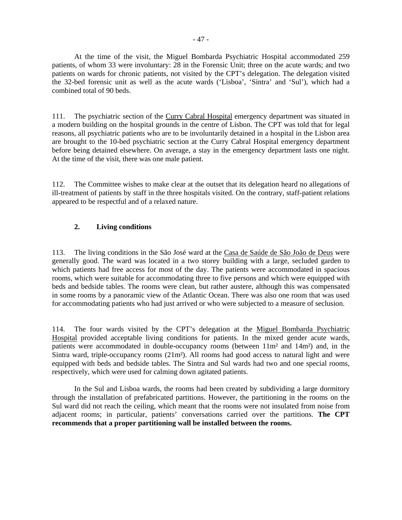At the time of the visit, the Miguel Bombarda Psychiatric Hospital accommodated 259 patients, of whom 33 were involuntary: 28 in the Forensic Unit; three on the acute wards; and two patients on wards for chronic patients, not visited by the CPT's delegation. The delegation visited the 32-bed forensic unit as well as the acute wards ('Lisboa', 'Sintra' and 'Sul'), which had a combined total of 90 beds.

111. The psychiatric section of the Curry Cabral Hospital emergency department was situated in a modern building on the hospital grounds in the centre of Lisbon. The CPT was told that for legal reasons, all psychiatric patients who are to be involuntarily detained in a hospital in the Lisbon area are brought to the 10-bed psychiatric section at the Curry Cabral Hospital emergency department before being detained elsewhere. On average, a stay in the emergency department lasts one night. At the time of the visit, there was one male patient.

112. The Committee wishes to make clear at the outset that its delegation heard no allegations of ill-treatment of patients by staff in the three hospitals visited. On the contrary, staff-patient relations appeared to be respectful and of a relaxed nature.

## **2. Living conditions**

113. The living conditions in the São José ward at the Casa de Saúde de São João de Deus were generally good. The ward was located in a two storey building with a large, secluded garden to which patients had free access for most of the day. The patients were accommodated in spacious rooms, which were suitable for accommodating three to five persons and which were equipped with beds and bedside tables. The rooms were clean, but rather austere, although this was compensated in some rooms by a panoramic view of the Atlantic Ocean. There was also one room that was used for accommodating patients who had just arrived or who were subjected to a measure of seclusion.

114. The four wards visited by the CPT's delegation at the Miguel Bombarda Psychiatric Hospital provided acceptable living conditions for patients. In the mixed gender acute wards, patients were accommodated in double-occupancy rooms (between 11m² and 14m²) and, in the Sintra ward, triple-occupancy rooms (21m²). All rooms had good access to natural light and were equipped with beds and bedside tables. The Sintra and Sul wards had two and one special rooms, respectively, which were used for calming down agitated patients.

In the Sul and Lisboa wards, the rooms had been created by subdividing a large dormitory through the installation of prefabricated partitions. However, the partitioning in the rooms on the Sul ward did not reach the ceiling, which meant that the rooms were not insulated from noise from adjacent rooms; in particular, patients' conversations carried over the partitions. **The CPT recommends that a proper partitioning wall be installed between the rooms.**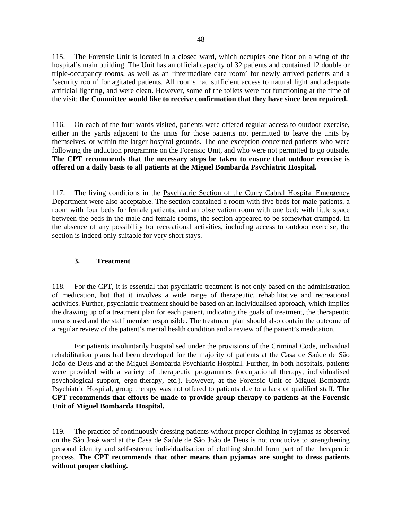115. The Forensic Unit is located in a closed ward, which occupies one floor on a wing of the hospital's main building. The Unit has an official capacity of 32 patients and contained 12 double or triple-occupancy rooms, as well as an 'intermediate care room' for newly arrived patients and a 'security room' for agitated patients. All rooms had sufficient access to natural light and adequate artificial lighting, and were clean. However, some of the toilets were not functioning at the time of the visit; **the Committee would like to receive confirmation that they have since been repaired.** 

116. On each of the four wards visited, patients were offered regular access to outdoor exercise, either in the yards adjacent to the units for those patients not permitted to leave the units by themselves, or within the larger hospital grounds. The one exception concerned patients who were following the induction programme on the Forensic Unit, and who were not permitted to go outside. **The CPT recommends that the necessary steps be taken to ensure that outdoor exercise is offered on a daily basis to all patients at the Miguel Bombarda Psychiatric Hospital.**

117. The living conditions in the Psychiatric Section of the Curry Cabral Hospital Emergency Department were also acceptable. The section contained a room with five beds for male patients, a room with four beds for female patients, and an observation room with one bed; with little space between the beds in the male and female rooms, the section appeared to be somewhat cramped. In the absence of any possibility for recreational activities, including access to outdoor exercise, the section is indeed only suitable for very short stays.

## **3. Treatment**

118. For the CPT, it is essential that psychiatric treatment is not only based on the administration of medication, but that it involves a wide range of therapeutic, rehabilitative and recreational activities. Further, psychiatric treatment should be based on an individualised approach, which implies the drawing up of a treatment plan for each patient, indicating the goals of treatment, the therapeutic means used and the staff member responsible. The treatment plan should also contain the outcome of a regular review of the patient's mental health condition and a review of the patient's medication.

 For patients involuntarily hospitalised under the provisions of the Criminal Code, individual rehabilitation plans had been developed for the majority of patients at the Casa de Saúde de São João de Deus and at the Miguel Bombarda Psychiatric Hospital. Further, in both hospitals, patients were provided with a variety of therapeutic programmes (occupational therapy, individualised psychological support, ergo-therapy, etc.). However, at the Forensic Unit of Miguel Bombarda Psychiatric Hospital, group therapy was not offered to patients due to a lack of qualified staff. **The CPT recommends that efforts be made to provide group therapy to patients at the Forensic Unit of Miguel Bombarda Hospital.**

119. The practice of continuously dressing patients without proper clothing in pyjamas as observed on the São José ward at the Casa de Saúde de São João de Deus is not conducive to strengthening personal identity and self-esteem; individualisation of clothing should form part of the therapeutic process. **The CPT recommends that other means than pyjamas are sought to dress patients without proper clothing.**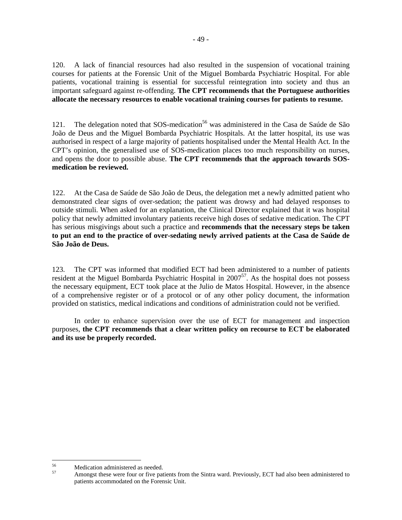120. A lack of financial resources had also resulted in the suspension of vocational training courses for patients at the Forensic Unit of the Miguel Bombarda Psychiatric Hospital. For able patients, vocational training is essential for successful reintegration into society and thus an important safeguard against re-offending. **The CPT recommends that the Portuguese authorities allocate the necessary resources to enable vocational training courses for patients to resume.** 

121. The delegation noted that SOS-medication<sup>56</sup> was administered in the Casa de Saúde de São João de Deus and the Miguel Bombarda Psychiatric Hospitals. At the latter hospital, its use was authorised in respect of a large majority of patients hospitalised under the Mental Health Act. In the CPT's opinion, the generalised use of SOS-medication places too much responsibility on nurses, and opens the door to possible abuse. **The CPT recommends that the approach towards SOSmedication be reviewed.** 

122. At the Casa de Saúde de São João de Deus, the delegation met a newly admitted patient who demonstrated clear signs of over-sedation; the patient was drowsy and had delayed responses to outside stimuli. When asked for an explanation, the Clinical Director explained that it was hospital policy that newly admitted involuntary patients receive high doses of sedative medication. The CPT has serious misgivings about such a practice and **recommends that the necessary steps be taken to put an end to the practice of over-sedating newly arrived patients at the Casa de Saúde de São João de Deus.** 

123. The CPT was informed that modified ECT had been administered to a number of patients resident at the Miguel Bombarda Psychiatric Hospital in 2007<sup>57</sup>. As the hospital does not possess the necessary equipment, ECT took place at the Julio de Matos Hospital. However, in the absence of a comprehensive register or of a protocol or of any other policy document, the information provided on statistics, medical indications and conditions of administration could not be verified.

In order to enhance supervision over the use of ECT for management and inspection purposes, **the CPT recommends that a clear written policy on recourse to ECT be elaborated and its use be properly recorded.**

<sup>56</sup> <sup>56</sup> Medication administered as needed.

Amongst these were four or five patients from the Sintra ward. Previously, ECT had also been administered to patients accommodated on the Forensic Unit.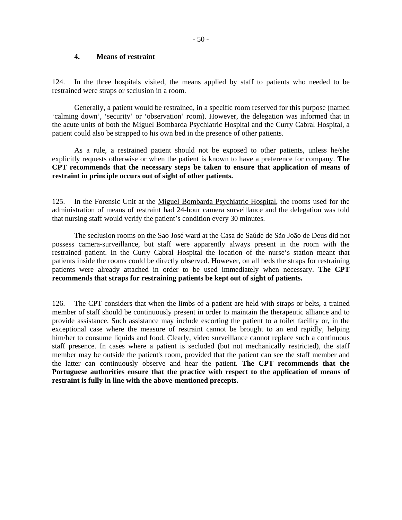#### **4. Means of restraint**

124. In the three hospitals visited, the means applied by staff to patients who needed to be restrained were straps or seclusion in a room.

 Generally, a patient would be restrained, in a specific room reserved for this purpose (named 'calming down', 'security' or 'observation' room). However, the delegation was informed that in the acute units of both the Miguel Bombarda Psychiatric Hospital and the Curry Cabral Hospital, a patient could also be strapped to his own bed in the presence of other patients.

 As a rule, a restrained patient should not be exposed to other patients, unless he/she explicitly requests otherwise or when the patient is known to have a preference for company. **The CPT recommends that the necessary steps be taken to ensure that application of means of restraint in principle occurs out of sight of other patients.** 

125. In the Forensic Unit at the Miguel Bombarda Psychiatric Hospital, the rooms used for the administration of means of restraint had 24-hour camera surveillance and the delegation was told that nursing staff would verify the patient's condition every 30 minutes.

 The seclusion rooms on the Sao José ward at the Casa de Saúde de São João de Deus did not possess camera-surveillance, but staff were apparently always present in the room with the restrained patient. In the Curry Cabral Hospital the location of the nurse's station meant that patients inside the rooms could be directly observed. However, on all beds the straps for restraining patients were already attached in order to be used immediately when necessary. **The CPT recommends that straps for restraining patients be kept out of sight of patients.** 

126. The CPT considers that when the limbs of a patient are held with straps or belts, a trained member of staff should be continuously present in order to maintain the therapeutic alliance and to provide assistance. Such assistance may include escorting the patient to a toilet facility or, in the exceptional case where the measure of restraint cannot be brought to an end rapidly, helping him/her to consume liquids and food. Clearly, video surveillance cannot replace such a continuous staff presence. In cases where a patient is secluded (but not mechanically restricted), the staff member may be outside the patient's room, provided that the patient can see the staff member and the latter can continuously observe and hear the patient. **The CPT recommends that the Portuguese authorities ensure that the practice with respect to the application of means of restraint is fully in line with the above-mentioned precepts.**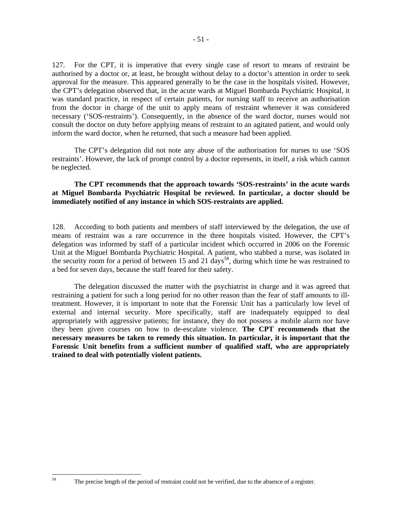127. For the CPT, it is imperative that every single case of resort to means of restraint be authorised by a doctor or, at least, be brought without delay to a doctor's attention in order to seek approval for the measure. This appeared generally to be the case in the hospitals visited. However, the CPT's delegation observed that, in the acute wards at Miguel Bombarda Psychiatric Hospital, it was standard practice, in respect of certain patients, for nursing staff to receive an authorisation from the doctor in charge of the unit to apply means of restraint whenever it was considered necessary ('SOS-restraints'). Consequently, in the absence of the ward doctor, nurses would not consult the doctor on duty before applying means of restraint to an agitated patient, and would only inform the ward doctor, when he returned, that such a measure had been applied.

 The CPT's delegation did not note any abuse of the authorisation for nurses to use 'SOS restraints'. However, the lack of prompt control by a doctor represents, in itself, a risk which cannot be neglected.

## **The CPT recommends that the approach towards 'SOS-restraints' in the acute wards at Miguel Bombarda Psychiatric Hospital be reviewed. In particular, a doctor should be immediately notified of any instance in which SOS-restraints are applied.**

128. According to both patients and members of staff interviewed by the delegation, the use of means of restraint was a rare occurrence in the three hospitals visited. However, the CPT's delegation was informed by staff of a particular incident which occurred in 2006 on the Forensic Unit at the Miguel Bombarda Psychiatric Hospital. A patient, who stabbed a nurse, was isolated in the security room for a period of between 15 and 21 days<sup>58</sup>, during which time he was restrained to a bed for seven days, because the staff feared for their safety.

 The delegation discussed the matter with the psychiatrist in charge and it was agreed that restraining a patient for such a long period for no other reason than the fear of staff amounts to illtreatment. However, it is important to note that the Forensic Unit has a particularly low level of external and internal security. More specifically, staff are inadequately equipped to deal appropriately with aggressive patients; for instance, they do not possess a mobile alarm nor have they been given courses on how to de-escalate violence. **The CPT recommends that the necessary measures be taken to remedy this situation. In particular, it is important that the Forensic Unit benefits from a sufficient number of qualified staff, who are appropriately trained to deal with potentially violent patients.**

 $58$ 

- 51 -

The precise length of the period of restraint could not be verified, due to the absence of a register.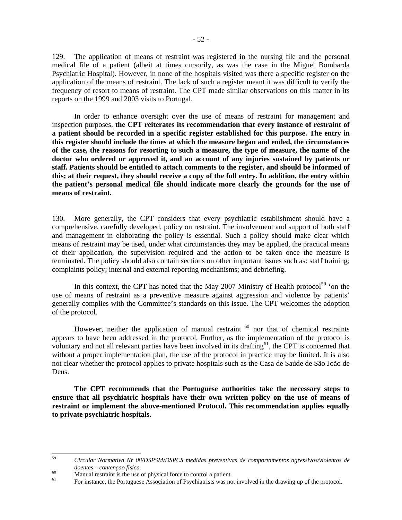129. The application of means of restraint was registered in the nursing file and the personal medical file of a patient (albeit at times cursorily, as was the case in the Miguel Bombarda Psychiatric Hospital). However, in none of the hospitals visited was there a specific register on the application of the means of restraint. The lack of such a register meant it was difficult to verify the frequency of resort to means of restraint. The CPT made similar observations on this matter in its reports on the 1999 and 2003 visits to Portugal.

In order to enhance oversight over the use of means of restraint for management and inspection purposes, **the CPT reiterates its recommendation that every instance of restraint of a patient should be recorded in a specific register established for this purpose. The entry in this register should include the times at which the measure began and ended, the circumstances of the case, the reasons for resorting to such a measure, the type of measure, the name of the doctor who ordered or approved it, and an account of any injuries sustained by patients or staff. Patients should be entitled to attach comments to the register, and should be informed of this; at their request, they should receive a copy of the full entry. In addition, the entry within the patient's personal medical file should indicate more clearly the grounds for the use of means of restraint.** 

130. More generally, the CPT considers that every psychiatric establishment should have a comprehensive, carefully developed, policy on restraint. The involvement and support of both staff and management in elaborating the policy is essential. Such a policy should make clear which means of restraint may be used, under what circumstances they may be applied, the practical means of their application, the supervision required and the action to be taken once the measure is terminated. The policy should also contain sections on other important issues such as: staff training; complaints policy; internal and external reporting mechanisms; and debriefing.

In this context, the CPT has noted that the May 2007 Ministry of Health protocol<sup>59</sup> 'on the use of means of restraint as a preventive measure against aggression and violence by patients' generally complies with the Committee's standards on this issue. The CPT welcomes the adoption of the protocol.

However, neither the application of manual restraint  $60$  nor that of chemical restraints appears to have been addressed in the protocol. Further, as the implementation of the protocol is voluntary and not all relevant parties have been involved in its drafting<sup>61</sup>, the CPT is concerned that without a proper implementation plan, the use of the protocol in practice may be limited. It is also not clear whether the protocol applies to private hospitals such as the Casa de Saúde de São João de Deus.

 **The CPT recommends that the Portuguese authorities take the necessary steps to ensure that all psychiatric hospitals have their own written policy on the use of means of restraint or implement the above-mentioned Protocol. This recommendation applies equally to private psychiatric hospitals.** 

<sup>59</sup> 59 *Circular Normativa Nr 08/DSPSM/DSPCS medidas preventivas de comportamentos agressivos/violentos de* 

*doentes – contençao fisica.*<br>
Manual restraint is the use of physical force to control a patient.

For instance, the Portuguese Association of Psychiatrists was not involved in the drawing up of the protocol.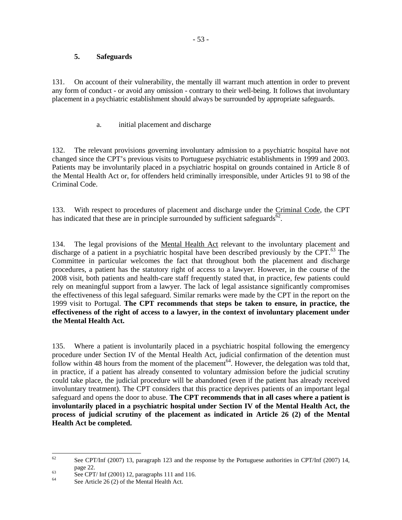## **5. Safeguards**

131. On account of their vulnerability, the mentally ill warrant much attention in order to prevent any form of conduct - or avoid any omission - contrary to their well-being. It follows that involuntary placement in a psychiatric establishment should always be surrounded by appropriate safeguards.

a. initial placement and discharge

132. The relevant provisions governing involuntary admission to a psychiatric hospital have not changed since the CPT's previous visits to Portuguese psychiatric establishments in 1999 and 2003. Patients may be involuntarily placed in a psychiatric hospital on grounds contained in Article 8 of the Mental Health Act or, for offenders held criminally irresponsible, under Articles 91 to 98 of the Criminal Code.

133. With respect to procedures of placement and discharge under the Criminal Code, the CPT has indicated that these are in principle surrounded by sufficient safeguards<sup>62</sup>.

134. The legal provisions of the Mental Health Act relevant to the involuntary placement and discharge of a patient in a psychiatric hospital have been described previously by the CPT. $^{63}$  The Committee in particular welcomes the fact that throughout both the placement and discharge procedures, a patient has the statutory right of access to a lawyer. However, in the course of the 2008 visit, both patients and health-care staff frequently stated that, in practice, few patients could rely on meaningful support from a lawyer. The lack of legal assistance significantly compromises the effectiveness of this legal safeguard. Similar remarks were made by the CPT in the report on the 1999 visit to Portugal. **The CPT recommends that steps be taken to ensure, in practice, the effectiveness of the right of access to a lawyer, in the context of involuntary placement under the Mental Health Act.**

135. Where a patient is involuntarily placed in a psychiatric hospital following the emergency procedure under Section IV of the Mental Health Act, judicial confirmation of the detention must follow within 48 hours from the moment of the placement<sup>64</sup>. However, the delegation was told that, in practice, if a patient has already consented to voluntary admission before the judicial scrutiny could take place, the judicial procedure will be abandoned (even if the patient has already received involuntary treatment). The CPT considers that this practice deprives patients of an important legal safeguard and opens the door to abuse. **The CPT recommends that in all cases where a patient is involuntarily placed in a psychiatric hospital under Section IV of the Mental Health Act, the process of judicial scrutiny of the placement as indicated in Article 26 (2) of the Mental Health Act be completed.** 

<sup>62</sup> 62 See CPT/Inf (2007) 13, paragraph 123 and the response by the Portuguese authorities in CPT/Inf (2007) 14,

page 22.<br>See CPT/ Inf (2001) 12, paragraphs 111 and 116.

See Article 26 (2) of the Mental Health Act.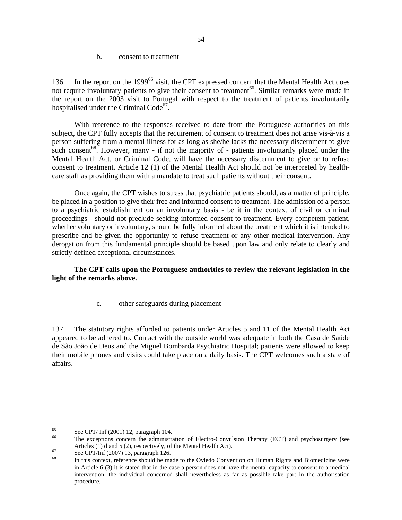b. consent to treatment

136. In the report on the 1999<sup>65</sup> visit, the CPT expressed concern that the Mental Health Act does not require involuntary patients to give their consent to treatment<sup>66</sup>. Similar remarks were made in the report on the 2003 visit to Portugal with respect to the treatment of patients involuntarily hospitalised under the Criminal Code<sup>67</sup>.

 With reference to the responses received to date from the Portuguese authorities on this subject, the CPT fully accepts that the requirement of consent to treatment does not arise vis-à-vis a person suffering from a mental illness for as long as she/he lacks the necessary discernment to give such consent<sup>68</sup>. However, many - if not the majority of - patients involuntarily placed under the Mental Health Act, or Criminal Code, will have the necessary discernment to give or to refuse consent to treatment. Article 12 (1) of the Mental Health Act should not be interpreted by healthcare staff as providing them with a mandate to treat such patients without their consent.

 Once again, the CPT wishes to stress that psychiatric patients should, as a matter of principle, be placed in a position to give their free and informed consent to treatment. The admission of a person to a psychiatric establishment on an involuntary basis - be it in the context of civil or criminal proceedings - should not preclude seeking informed consent to treatment. Every competent patient, whether voluntary or involuntary, should be fully informed about the treatment which it is intended to prescribe and be given the opportunity to refuse treatment or any other medical intervention. Any derogation from this fundamental principle should be based upon law and only relate to clearly and strictly defined exceptional circumstances.

## **The CPT calls upon the Portuguese authorities to review the relevant legislation in the light of the remarks above.**

## c. other safeguards during placement

137. The statutory rights afforded to patients under Articles 5 and 11 of the Mental Health Act appeared to be adhered to. Contact with the outside world was adequate in both the Casa de Saúde de São João de Deus and the Miguel Bombarda Psychiatric Hospital; patients were allowed to keep their mobile phones and visits could take place on a daily basis. The CPT welcomes such a state of affairs.

<sup>65</sup>  $65$  See CPT/ Inf (2001) 12, paragraph 104.

The exceptions concern the administration of Electro-Convulsion Therapy (ECT) and psychosurgery (see Articles (1) d and 5 (2), respectively, of the Mental Health Act).<br>See CPT/Inf (2007) 13, paragraph 126.

In this context, reference should be made to the Oviedo Convention on Human Rights and Biomedicine were in Article 6 (3) it is stated that in the case a person does not have the mental capacity to consent to a medical intervention, the individual concerned shall nevertheless as far as possible take part in the authorisation procedure.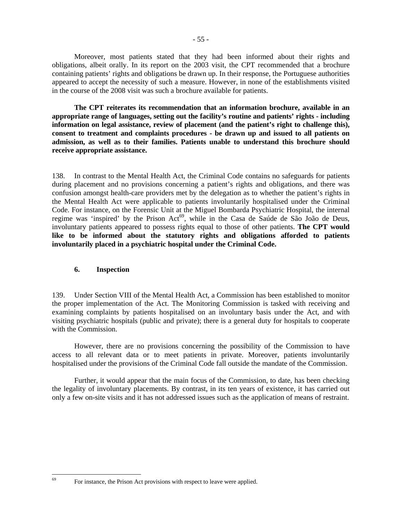Moreover, most patients stated that they had been informed about their rights and obligations, albeit orally. In its report on the 2003 visit, the CPT recommended that a brochure containing patients' rights and obligations be drawn up. In their response, the Portuguese authorities appeared to accept the necessity of such a measure. However, in none of the establishments visited in the course of the 2008 visit was such a brochure available for patients.

**The CPT reiterates its recommendation that an information brochure, available in an appropriate range of languages, setting out the facility's routine and patients' rights - including information on legal assistance, review of placement (and the patient's right to challenge this), consent to treatment and complaints procedures - be drawn up and issued to all patients on admission, as well as to their families. Patients unable to understand this brochure should receive appropriate assistance.** 

138. In contrast to the Mental Health Act, the Criminal Code contains no safeguards for patients during placement and no provisions concerning a patient's rights and obligations, and there was confusion amongst health-care providers met by the delegation as to whether the patient's rights in the Mental Health Act were applicable to patients involuntarily hospitalised under the Criminal Code. For instance, on the Forensic Unit at the Miguel Bombarda Psychiatric Hospital, the internal regime was 'inspired' by the Prison Act<sup>69</sup>, while in the Casa de Saúde de São João de Deus, involuntary patients appeared to possess rights equal to those of other patients. **The CPT would like to be informed about the statutory rights and obligations afforded to patients involuntarily placed in a psychiatric hospital under the Criminal Code.**

## **6. Inspection**

 $69$ 

139. Under Section VIII of the Mental Health Act, a Commission has been established to monitor the proper implementation of the Act. The Monitoring Commission is tasked with receiving and examining complaints by patients hospitalised on an involuntary basis under the Act, and with visiting psychiatric hospitals (public and private); there is a general duty for hospitals to cooperate with the Commission.

 However, there are no provisions concerning the possibility of the Commission to have access to all relevant data or to meet patients in private. Moreover, patients involuntarily hospitalised under the provisions of the Criminal Code fall outside the mandate of the Commission.

Further, it would appear that the main focus of the Commission, to date, has been checking the legality of involuntary placements. By contrast, in its ten years of existence, it has carried out only a few on-site visits and it has not addressed issues such as the application of means of restraint.

For instance, the Prison Act provisions with respect to leave were applied.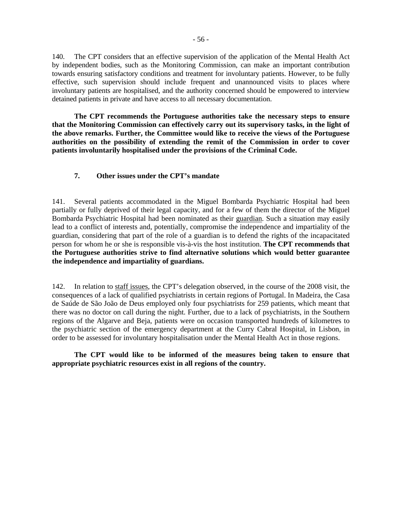140. The CPT considers that an effective supervision of the application of the Mental Health Act by independent bodies, such as the Monitoring Commission, can make an important contribution towards ensuring satisfactory conditions and treatment for involuntary patients. However, to be fully effective, such supervision should include frequent and unannounced visits to places where involuntary patients are hospitalised, and the authority concerned should be empowered to interview detained patients in private and have access to all necessary documentation.

 **The CPT recommends the Portuguese authorities take the necessary steps to ensure that the Monitoring Commission can effectively carry out its supervisory tasks, in the light of the above remarks. Further, the Committee would like to receive the views of the Portuguese authorities on the possibility of extending the remit of the Commission in order to cover patients involuntarily hospitalised under the provisions of the Criminal Code.** 

### **7. Other issues under the CPT's mandate**

141. Several patients accommodated in the Miguel Bombarda Psychiatric Hospital had been partially or fully deprived of their legal capacity, and for a few of them the director of the Miguel Bombarda Psychiatric Hospital had been nominated as their guardian. Such a situation may easily lead to a conflict of interests and, potentially, compromise the independence and impartiality of the guardian, considering that part of the role of a guardian is to defend the rights of the incapacitated person for whom he or she is responsible vis-à-vis the host institution. **The CPT recommends that the Portuguese authorities strive to find alternative solutions which would better guarantee the independence and impartiality of guardians.**

142. In relation to staff issues, the CPT's delegation observed, in the course of the 2008 visit, the consequences of a lack of qualified psychiatrists in certain regions of Portugal. In Madeira, the Casa de Saúde de São João de Deus employed only four psychiatrists for 259 patients, which meant that there was no doctor on call during the night. Further, due to a lack of psychiatrists, in the Southern regions of the Algarve and Beja, patients were on occasion transported hundreds of kilometres to the psychiatric section of the emergency department at the Curry Cabral Hospital, in Lisbon, in order to be assessed for involuntary hospitalisation under the Mental Health Act in those regions.

**The CPT would like to be informed of the measures being taken to ensure that appropriate psychiatric resources exist in all regions of the country.**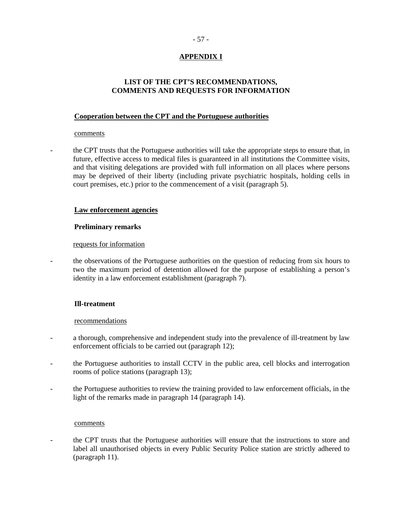## - 57 -

## **APPENDIX I**

## **LIST OF THE CPT'S RECOMMENDATIONS, COMMENTS AND REQUESTS FOR INFORMATION**

### **Cooperation between the CPT and the Portuguese authorities**

### comments

- the CPT trusts that the Portuguese authorities will take the appropriate steps to ensure that, in future, effective access to medical files is guaranteed in all institutions the Committee visits, and that visiting delegations are provided with full information on all places where persons may be deprived of their liberty (including private psychiatric hospitals, holding cells in court premises, etc.) prior to the commencement of a visit (paragraph 5).

### **Law enforcement agencies**

### **Preliminary remarks**

#### requests for information

- the observations of the Portuguese authorities on the question of reducing from six hours to two the maximum period of detention allowed for the purpose of establishing a person's identity in a law enforcement establishment (paragraph 7).

## **Ill-treatment**

#### recommendations

- a thorough, comprehensive and independent study into the prevalence of ill-treatment by law enforcement officials to be carried out (paragraph 12);
- the Portuguese authorities to install CCTV in the public area, cell blocks and interrogation rooms of police stations (paragraph 13);
- the Portuguese authorities to review the training provided to law enforcement officials, in the light of the remarks made in paragraph 14 (paragraph 14).

#### comments

- the CPT trusts that the Portuguese authorities will ensure that the instructions to store and label all unauthorised objects in every Public Security Police station are strictly adhered to (paragraph 11).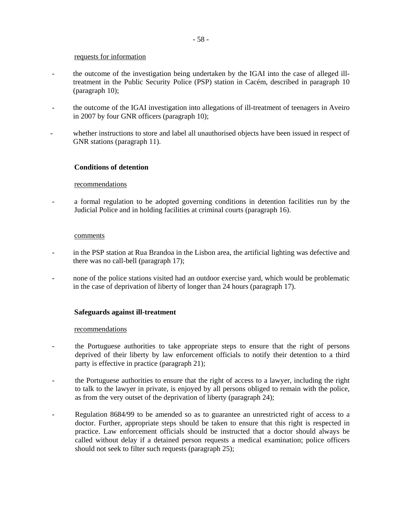#### requests for information

- the outcome of the investigation being undertaken by the IGAI into the case of alleged illtreatment in the Public Security Police (PSP) station in Cacém, described in paragraph 10 (paragraph 10);
- the outcome of the IGAI investigation into allegations of ill-treatment of teenagers in Aveiro in 2007 by four GNR officers (paragraph 10);
- whether instructions to store and label all unauthorised objects have been issued in respect of GNR stations (paragraph 11).

### **Conditions of detention**

#### recommendations

- a formal regulation to be adopted governing conditions in detention facilities run by the Judicial Police and in holding facilities at criminal courts (paragraph 16).

#### comments

- in the PSP station at Rua Brandoa in the Lisbon area, the artificial lighting was defective and there was no call-bell (paragraph 17);
- none of the police stations visited had an outdoor exercise yard, which would be problematic in the case of deprivation of liberty of longer than 24 hours (paragraph 17).

#### **Safeguards against ill-treatment**

#### recommendations

- the Portuguese authorities to take appropriate steps to ensure that the right of persons deprived of their liberty by law enforcement officials to notify their detention to a third party is effective in practice (paragraph 21);
- the Portuguese authorities to ensure that the right of access to a lawyer, including the right to talk to the lawyer in private, is enjoyed by all persons obliged to remain with the police, as from the very outset of the deprivation of liberty (paragraph 24);
- Regulation 8684/99 to be amended so as to guarantee an unrestricted right of access to a doctor. Further, appropriate steps should be taken to ensure that this right is respected in practice. Law enforcement officials should be instructed that a doctor should always be called without delay if a detained person requests a medical examination; police officers should not seek to filter such requests (paragraph 25);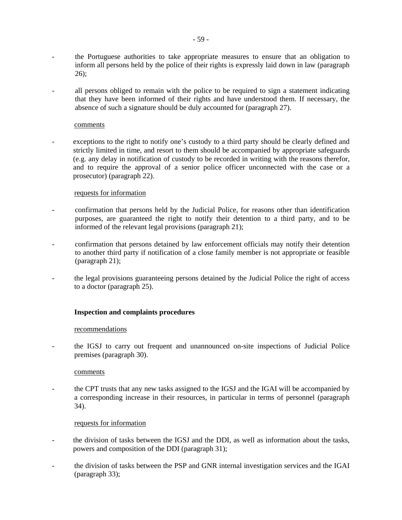- the Portuguese authorities to take appropriate measures to ensure that an obligation to inform all persons held by the police of their rights is expressly laid down in law (paragraph 26);
- all persons obliged to remain with the police to be required to sign a statement indicating that they have been informed of their rights and have understood them. If necessary, the absence of such a signature should be duly accounted for (paragraph 27).

### comments

exceptions to the right to notify one's custody to a third party should be clearly defined and strictly limited in time, and resort to them should be accompanied by appropriate safeguards (e.g. any delay in notification of custody to be recorded in writing with the reasons therefor, and to require the approval of a senior police officer unconnected with the case or a prosecutor) (paragraph 22).

## requests for information

- confirmation that persons held by the Judicial Police, for reasons other than identification purposes, are guaranteed the right to notify their detention to a third party, and to be informed of the relevant legal provisions (paragraph 21);
- confirmation that persons detained by law enforcement officials may notify their detention to another third party if notification of a close family member is not appropriate or feasible (paragraph 21);
- the legal provisions guaranteeing persons detained by the Judicial Police the right of access to a doctor (paragraph 25).

## **Inspection and complaints procedures**

#### recommendations

- the IGSJ to carry out frequent and unannounced on-site inspections of Judicial Police premises (paragraph 30).

### comments

- the CPT trusts that any new tasks assigned to the IGSJ and the IGAI will be accompanied by a corresponding increase in their resources, in particular in terms of personnel (paragraph 34).

#### requests for information

- the division of tasks between the IGSJ and the DDI, as well as information about the tasks, powers and composition of the DDI (paragraph 31);
- the division of tasks between the PSP and GNR internal investigation services and the IGAI (paragraph 33);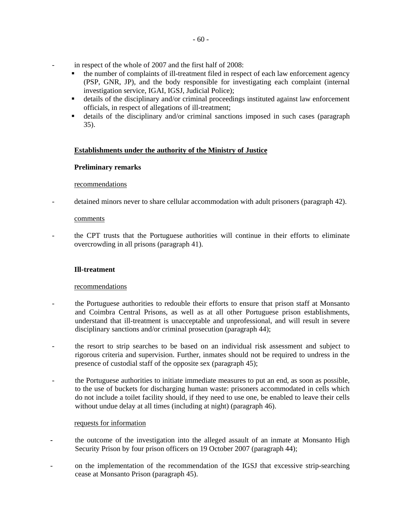- in respect of the whole of 2007 and the first half of 2008:
	- the number of complaints of ill-treatment filed in respect of each law enforcement agency (PSP, GNR, JP), and the body responsible for investigating each complaint (internal investigation service, IGAI, IGSJ, Judicial Police);
	- details of the disciplinary and/or criminal proceedings instituted against law enforcement officials, in respect of allegations of ill-treatment;
	- details of the disciplinary and/or criminal sanctions imposed in such cases (paragraph 35).

## **Establishments under the authority of the Ministry of Justice**

#### **Preliminary remarks**

#### recommendations

detained minors never to share cellular accommodation with adult prisoners (paragraph 42).

#### comments

- the CPT trusts that the Portuguese authorities will continue in their efforts to eliminate overcrowding in all prisons (paragraph 41).

#### **Ill-treatment**

#### recommendations

- the Portuguese authorities to redouble their efforts to ensure that prison staff at Monsanto and Coimbra Central Prisons, as well as at all other Portuguese prison establishments, understand that ill-treatment is unacceptable and unprofessional, and will result in severe disciplinary sanctions and/or criminal prosecution (paragraph 44);
- the resort to strip searches to be based on an individual risk assessment and subject to rigorous criteria and supervision. Further, inmates should not be required to undress in the presence of custodial staff of the opposite sex (paragraph 45);
- the Portuguese authorities to initiate immediate measures to put an end, as soon as possible, to the use of buckets for discharging human waste: prisoners accommodated in cells which do not include a toilet facility should, if they need to use one, be enabled to leave their cells without undue delay at all times (including at night) (paragraph 46).

#### requests for information

- **-** the outcome of the investigation into the alleged assault of an inmate at Monsanto High Security Prison by four prison officers on 19 October 2007 (paragraph 44);
- on the implementation of the recommendation of the IGSJ that excessive strip-searching cease at Monsanto Prison (paragraph 45).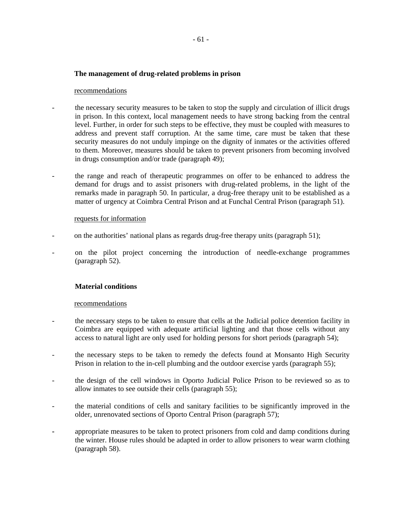### **The management of drug-related problems in prison**

#### recommendations

the necessary security measures to be taken to stop the supply and circulation of illicit drugs in prison. In this context, local management needs to have strong backing from the central level. Further, in order for such steps to be effective, they must be coupled with measures to address and prevent staff corruption. At the same time, care must be taken that these security measures do not unduly impinge on the dignity of inmates or the activities offered to them. Moreover, measures should be taken to prevent prisoners from becoming involved in drugs consumption and/or trade (paragraph 49);

- the range and reach of therapeutic programmes on offer to be enhanced to address the demand for drugs and to assist prisoners with drug-related problems, in the light of the remarks made in paragraph 50. In particular, a drug-free therapy unit to be established as a matter of urgency at Coimbra Central Prison and at Funchal Central Prison (paragraph 51).

#### requests for information

- on the authorities' national plans as regards drug-free therapy units (paragraph 51);
- on the pilot project concerning the introduction of needle-exchange programmes (paragraph 52).

#### **Material conditions**

#### recommendations

- the necessary steps to be taken to ensure that cells at the Judicial police detention facility in Coimbra are equipped with adequate artificial lighting and that those cells without any access to natural light are only used for holding persons for short periods (paragraph 54);
- the necessary steps to be taken to remedy the defects found at Monsanto High Security Prison in relation to the in-cell plumbing and the outdoor exercise yards (paragraph 55);
- the design of the cell windows in Oporto Judicial Police Prison to be reviewed so as to allow inmates to see outside their cells (paragraph 55);
- the material conditions of cells and sanitary facilities to be significantly improved in the older, unrenovated sections of Oporto Central Prison (paragraph 57);
- **-** appropriate measures to be taken to protect prisoners from cold and damp conditions during the winter. House rules should be adapted in order to allow prisoners to wear warm clothing (paragraph 58).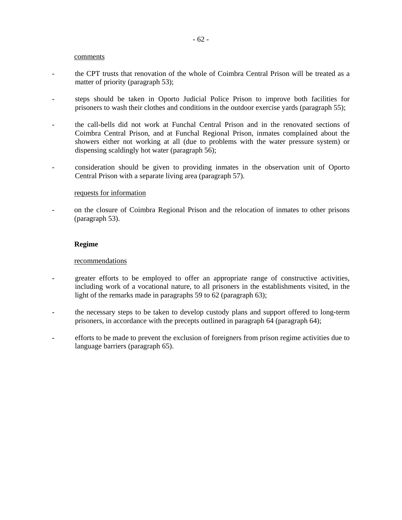#### comments

- the CPT trusts that renovation of the whole of Coimbra Central Prison will be treated as a matter of priority (paragraph 53);
- steps should be taken in Oporto Judicial Police Prison to improve both facilities for prisoners to wash their clothes and conditions in the outdoor exercise yards (paragraph 55);
- the call-bells did not work at Funchal Central Prison and in the renovated sections of Coimbra Central Prison, and at Funchal Regional Prison, inmates complained about the showers either not working at all (due to problems with the water pressure system) or dispensing scaldingly hot water (paragraph 56);
- consideration should be given to providing inmates in the observation unit of Oporto Central Prison with a separate living area (paragraph 57).

#### requests for information

- on the closure of Coimbra Regional Prison and the relocation of inmates to other prisons (paragraph 53).

#### **Regime**

#### recommendations

- greater efforts to be employed to offer an appropriate range of constructive activities, including work of a vocational nature, to all prisoners in the establishments visited, in the light of the remarks made in paragraphs 59 to 62 (paragraph 63);
- the necessary steps to be taken to develop custody plans and support offered to long-term prisoners, in accordance with the precepts outlined in paragraph 64 (paragraph 64);
- efforts to be made to prevent the exclusion of foreigners from prison regime activities due to language barriers (paragraph 65).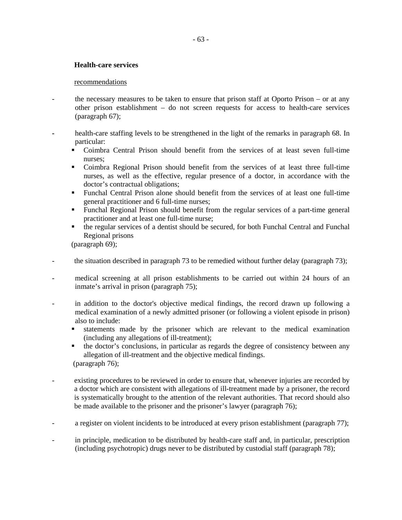## **Health-care services**

### recommendations

- the necessary measures to be taken to ensure that prison staff at Oporto Prison or at any other prison establishment – do not screen requests for access to health-care services (paragraph 67);
- **-** health-care staffing levels to be strengthened in the light of the remarks in paragraph 68. In particular:
	- Coimbra Central Prison should benefit from the services of at least seven full-time nurses;
	- Coimbra Regional Prison should benefit from the services of at least three full-time nurses, as well as the effective, regular presence of a doctor, in accordance with the doctor's contractual obligations;
	- Funchal Central Prison alone should benefit from the services of at least one full-time general practitioner and 6 full-time nurses;
	- Funchal Regional Prison should benefit from the regular services of a part-time general practitioner and at least one full-time nurse;
	- the regular services of a dentist should be secured, for both Funchal Central and Funchal Regional prisons

(paragraph 69);

- the situation described in paragraph 73 to be remedied without further delay (paragraph 73);
- medical screening at all prison establishments to be carried out within 24 hours of an inmate's arrival in prison (paragraph 75);
- in addition to the doctor's objective medical findings, the record drawn up following a medical examination of a newly admitted prisoner (or following a violent episode in prison) also to include:
	- statements made by the prisoner which are relevant to the medical examination (including any allegations of ill-treatment);
	- the doctor's conclusions, in particular as regards the degree of consistency between any allegation of ill-treatment and the objective medical findings. (paragraph 76);
- existing procedures to be reviewed in order to ensure that, whenever injuries are recorded by a doctor which are consistent with allegations of ill-treatment made by a prisoner, the record is systematically brought to the attention of the relevant authorities. That record should also be made available to the prisoner and the prisoner's lawyer (paragraph 76);
- a register on violent incidents to be introduced at every prison establishment (paragraph 77);
- in principle, medication to be distributed by health-care staff and, in particular, prescription (including psychotropic) drugs never to be distributed by custodial staff (paragraph 78);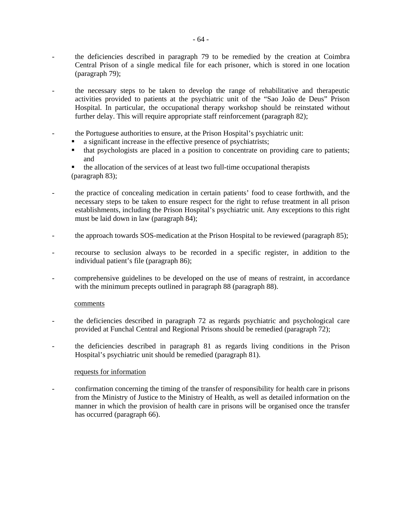- the deficiencies described in paragraph 79 to be remedied by the creation at Coimbra Central Prison of a single medical file for each prisoner, which is stored in one location (paragraph 79);
- the necessary steps to be taken to develop the range of rehabilitative and therapeutic activities provided to patients at the psychiatric unit of the "Sao João de Deus" Prison Hospital. In particular, the occupational therapy workshop should be reinstated without further delay. This will require appropriate staff reinforcement (paragraph 82);
- the Portuguese authorities to ensure, at the Prison Hospital's psychiatric unit:
	- a significant increase in the effective presence of psychiatrists;
	- that psychologists are placed in a position to concentrate on providing care to patients; and
	- the allocation of the services of at least two full-time occupational therapists (paragraph 83);
- the practice of concealing medication in certain patients' food to cease forthwith, and the necessary steps to be taken to ensure respect for the right to refuse treatment in all prison establishments, including the Prison Hospital's psychiatric unit. Any exceptions to this right must be laid down in law (paragraph 84);
- the approach towards SOS-medication at the Prison Hospital to be reviewed (paragraph 85);
- recourse to seclusion always to be recorded in a specific register, in addition to the individual patient's file (paragraph 86);
- comprehensive guidelines to be developed on the use of means of restraint, in accordance with the minimum precepts outlined in paragraph 88 (paragraph 88).

#### comments

- the deficiencies described in paragraph 72 as regards psychiatric and psychological care provided at Funchal Central and Regional Prisons should be remedied (paragraph 72);
- the deficiencies described in paragraph 81 as regards living conditions in the Prison Hospital's psychiatric unit should be remedied (paragraph 81).

### requests for information

- confirmation concerning the timing of the transfer of responsibility for health care in prisons from the Ministry of Justice to the Ministry of Health, as well as detailed information on the manner in which the provision of health care in prisons will be organised once the transfer has occurred (paragraph 66).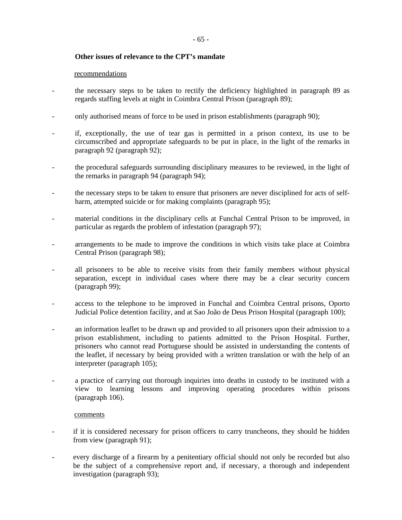## **Other issues of relevance to the CPT's mandate**

#### recommendations

- the necessary steps to be taken to rectify the deficiency highlighted in paragraph 89 as regards staffing levels at night in Coimbra Central Prison (paragraph 89);
- only authorised means of force to be used in prison establishments (paragraph 90);
- if, exceptionally, the use of tear gas is permitted in a prison context, its use to be circumscribed and appropriate safeguards to be put in place, in the light of the remarks in paragraph 92 (paragraph 92);
- the procedural safeguards surrounding disciplinary measures to be reviewed, in the light of the remarks in paragraph 94 (paragraph 94);
- the necessary steps to be taken to ensure that prisoners are never disciplined for acts of selfharm, attempted suicide or for making complaints (paragraph 95);
- material conditions in the disciplinary cells at Funchal Central Prison to be improved, in particular as regards the problem of infestation (paragraph 97);
- arrangements to be made to improve the conditions in which visits take place at Coimbra Central Prison (paragraph 98);
- all prisoners to be able to receive visits from their family members without physical separation, except in individual cases where there may be a clear security concern (paragraph 99);
- access to the telephone to be improved in Funchal and Coimbra Central prisons, Oporto Judicial Police detention facility, and at Sao João de Deus Prison Hospital (paragraph 100);
- an information leaflet to be drawn up and provided to all prisoners upon their admission to a prison establishment, including to patients admitted to the Prison Hospital. Further, prisoners who cannot read Portuguese should be assisted in understanding the contents of the leaflet, if necessary by being provided with a written translation or with the help of an interpreter (paragraph 105);
- a practice of carrying out thorough inquiries into deaths in custody to be instituted with a view to learning lessons and improving operating procedures within prisons (paragraph 106).

#### comments

- if it is considered necessary for prison officers to carry truncheons, they should be hidden from view (paragraph 91);
- every discharge of a firearm by a penitentiary official should not only be recorded but also be the subject of a comprehensive report and, if necessary, a thorough and independent investigation (paragraph 93);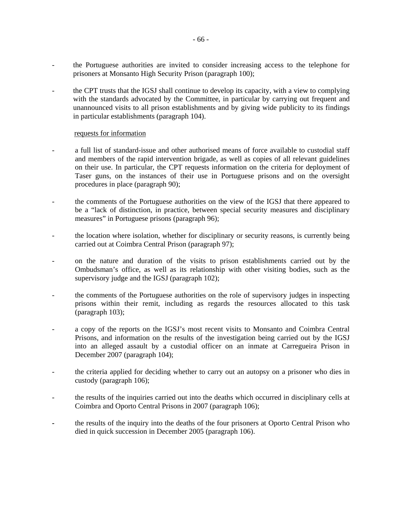- the Portuguese authorities are invited to consider increasing access to the telephone for prisoners at Monsanto High Security Prison (paragraph 100);
- the CPT trusts that the IGSJ shall continue to develop its capacity, with a view to complying with the standards advocated by the Committee, in particular by carrying out frequent and unannounced visits to all prison establishments and by giving wide publicity to its findings in particular establishments (paragraph 104).

#### requests for information

- a full list of standard-issue and other authorised means of force available to custodial staff and members of the rapid intervention brigade, as well as copies of all relevant guidelines on their use. In particular, the CPT requests information on the criteria for deployment of Taser guns, on the instances of their use in Portuguese prisons and on the oversight procedures in place (paragraph 90);
- the comments of the Portuguese authorities on the view of the IGSJ that there appeared to be a "lack of distinction, in practice, between special security measures and disciplinary measures" in Portuguese prisons (paragraph 96);
- the location where isolation, whether for disciplinary or security reasons, is currently being carried out at Coimbra Central Prison (paragraph 97);
- on the nature and duration of the visits to prison establishments carried out by the Ombudsman's office, as well as its relationship with other visiting bodies, such as the supervisory judge and the IGSJ (paragraph 102);
- the comments of the Portuguese authorities on the role of supervisory judges in inspecting prisons within their remit, including as regards the resources allocated to this task (paragraph 103);
- a copy of the reports on the IGSJ's most recent visits to Monsanto and Coimbra Central Prisons, and information on the results of the investigation being carried out by the IGSJ into an alleged assault by a custodial officer on an inmate at Carregueira Prison in December 2007 (paragraph 104);
- the criteria applied for deciding whether to carry out an autopsy on a prisoner who dies in custody (paragraph 106);
- the results of the inquiries carried out into the deaths which occurred in disciplinary cells at Coimbra and Oporto Central Prisons in 2007 (paragraph 106);
- the results of the inquiry into the deaths of the four prisoners at Oporto Central Prison who died in quick succession in December 2005 (paragraph 106).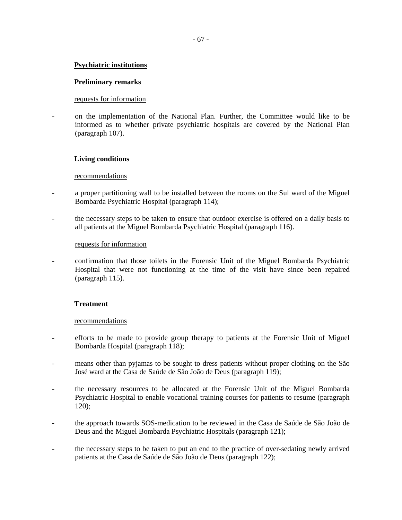## **Psychiatric institutions**

### **Preliminary remarks**

### requests for information

- on the implementation of the National Plan. Further, the Committee would like to be informed as to whether private psychiatric hospitals are covered by the National Plan (paragraph 107).

### **Living conditions**

#### recommendations

- a proper partitioning wall to be installed between the rooms on the Sul ward of the Miguel Bombarda Psychiatric Hospital (paragraph 114);
- the necessary steps to be taken to ensure that outdoor exercise is offered on a daily basis to all patients at the Miguel Bombarda Psychiatric Hospital (paragraph 116).

#### requests for information

- confirmation that those toilets in the Forensic Unit of the Miguel Bombarda Psychiatric Hospital that were not functioning at the time of the visit have since been repaired (paragraph 115).

### **Treatment**

#### recommendations

- efforts to be made to provide group therapy to patients at the Forensic Unit of Miguel Bombarda Hospital (paragraph 118);
- means other than pyjamas to be sought to dress patients without proper clothing on the São José ward at the Casa de Saúde de São João de Deus (paragraph 119);
- the necessary resources to be allocated at the Forensic Unit of the Miguel Bombarda Psychiatric Hospital to enable vocational training courses for patients to resume (paragraph 120);
- **-** the approach towards SOS-medication to be reviewed in the Casa de Saúde de São João de Deus and the Miguel Bombarda Psychiatric Hospitals (paragraph 121);
- the necessary steps to be taken to put an end to the practice of over-sedating newly arrived patients at the Casa de Saúde de São João de Deus (paragraph 122);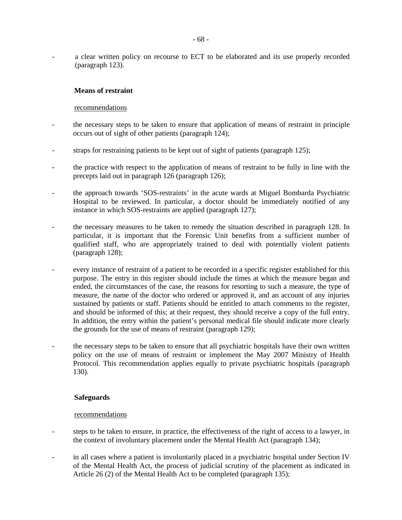a clear written policy on recourse to ECT to be elaborated and its use properly recorded (paragraph 123).

## **Means of restraint**

### recommendations

- the necessary steps to be taken to ensure that application of means of restraint in principle occurs out of sight of other patients (paragraph 124);
- straps for restraining patients to be kept out of sight of patients (paragraph 125);
- **-** the practice with respect to the application of means of restraint to be fully in line with the precepts laid out in paragraph 126 (paragraph 126);
- the approach towards 'SOS-restraints' in the acute wards at Miguel Bombarda Psychiatric Hospital to be reviewed. In particular, a doctor should be immediately notified of any instance in which SOS-restraints are applied (paragraph 127);
- the necessary measures to be taken to remedy the situation described in paragraph 128. In particular, it is important that the Forensic Unit benefits from a sufficient number of qualified staff, who are appropriately trained to deal with potentially violent patients (paragraph 128);
- every instance of restraint of a patient to be recorded in a specific register established for this purpose. The entry in this register should include the times at which the measure began and ended, the circumstances of the case, the reasons for resorting to such a measure, the type of measure, the name of the doctor who ordered or approved it, and an account of any injuries sustained by patients or staff. Patients should be entitled to attach comments to the register, and should be informed of this; at their request, they should receive a copy of the full entry. In addition, the entry within the patient's personal medical file should indicate more clearly the grounds for the use of means of restraint (paragraph 129);
- the necessary steps to be taken to ensure that all psychiatric hospitals have their own written policy on the use of means of restraint or implement the May 2007 Ministry of Health Protocol. This recommendation applies equally to private psychiatric hospitals (paragraph 130).

## **Safeguards**

#### recommendations

- steps to be taken to ensure, in practice, the effectiveness of the right of access to a lawyer, in the context of involuntary placement under the Mental Health Act (paragraph 134);
- in all cases where a patient is involuntarily placed in a psychiatric hospital under Section IV of the Mental Health Act, the process of judicial scrutiny of the placement as indicated in Article 26 (2) of the Mental Health Act to be completed (paragraph 135);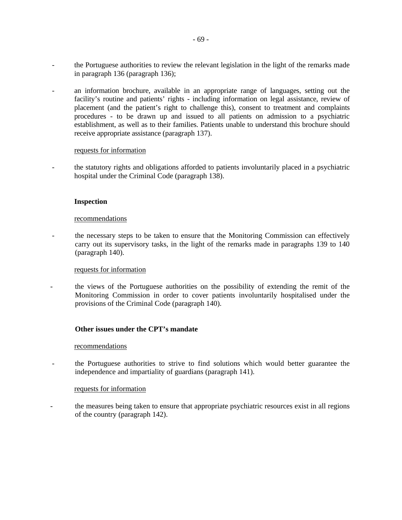- the Portuguese authorities to review the relevant legislation in the light of the remarks made in paragraph 136 (paragraph 136);
- an information brochure, available in an appropriate range of languages, setting out the facility's routine and patients' rights - including information on legal assistance, review of placement (and the patient's right to challenge this), consent to treatment and complaints procedures - to be drawn up and issued to all patients on admission to a psychiatric establishment, as well as to their families. Patients unable to understand this brochure should receive appropriate assistance (paragraph 137).

#### requests for information

- the statutory rights and obligations afforded to patients involuntarily placed in a psychiatric hospital under the Criminal Code (paragraph 138).

#### **Inspection**

#### recommendations

- the necessary steps to be taken to ensure that the Monitoring Commission can effectively carry out its supervisory tasks, in the light of the remarks made in paragraphs 139 to 140 (paragraph 140).

#### requests for information

- the views of the Portuguese authorities on the possibility of extending the remit of the Monitoring Commission in order to cover patients involuntarily hospitalised under the provisions of the Criminal Code (paragraph 140).

#### **Other issues under the CPT's mandate**

#### recommendations

- the Portuguese authorities to strive to find solutions which would better guarantee the independence and impartiality of guardians (paragraph 141).

#### requests for information

- the measures being taken to ensure that appropriate psychiatric resources exist in all regions of the country (paragraph 142).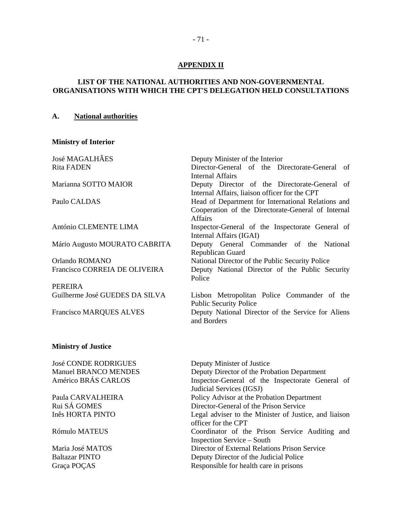## **APPENDIX II**

## **LIST OF THE NATIONAL AUTHORITIES AND NON-GOVERNMENTAL ORGANISATIONS WITH WHICH THE CPT'S DELEGATION HELD CONSULTATIONS**

### **A. National authorities**

## **Ministry of Interior**

| <b>José MAGALHÃES</b><br><b>Rita FADEN</b>         | Deputy Minister of the Interior<br>Director-General of the Directorate-General<br>of<br>Internal Affairs                   |
|----------------------------------------------------|----------------------------------------------------------------------------------------------------------------------------|
| Marianna SOTTO MAIOR                               | Deputy Director of the Directorate-General of<br>Internal Affairs, liaison officer for the CPT                             |
| Paulo CALDAS                                       | Head of Department for International Relations and<br>Cooperation of the Directorate-General of Internal<br><b>Affairs</b> |
| António CLEMENTE LIMA                              | Inspector-General of the Inspectorate General of<br>Internal Affairs (IGAI)                                                |
| Mário Augusto MOURATO CABRITA                      | Deputy General Commander of the National<br>Republican Guard                                                               |
| Orlando ROMANO                                     | National Director of the Public Security Police                                                                            |
| Francisco CORREIA DE OLIVEIRA                      | Deputy National Director of the Public Security<br>Police                                                                  |
| <b>PEREIRA</b>                                     |                                                                                                                            |
| Guilherme José GUEDES DA SILVA                     | Lisbon Metropolitan Police Commander of the<br><b>Public Security Police</b>                                               |
| <b>Francisco MARQUES ALVES</b>                     | Deputy National Director of the Service for Aliens<br>and Borders                                                          |
| <b>Ministry of Justice</b>                         |                                                                                                                            |
| <b>José CONDE RODRIGUES</b>                        | Deputy Minister of Justice                                                                                                 |
| <b>Manuel BRANCO MENDES</b><br>Américo BRÁS CARLOS | Deputy Director of the Probation Department<br>Inspector-General of the Inspectorate General of                            |

Judicial Services (IGSJ) Paula CARVALHEIRA Policy Advisor at the Probation Department Rui SÁ GOMES Director-General of the Prison Service Inês HORTA PINTO Legal adviser to the Minister of Justice, and liaison officer for the CPT Rómulo MATEUS Coordinator of the Prison Service Auditing and Inspection Service – South Maria José MATOS Director of External Relations Prison Service Baltazar PINTO Deputy Director of the Judicial Police Graça POÇAS Responsible for health care in prisons